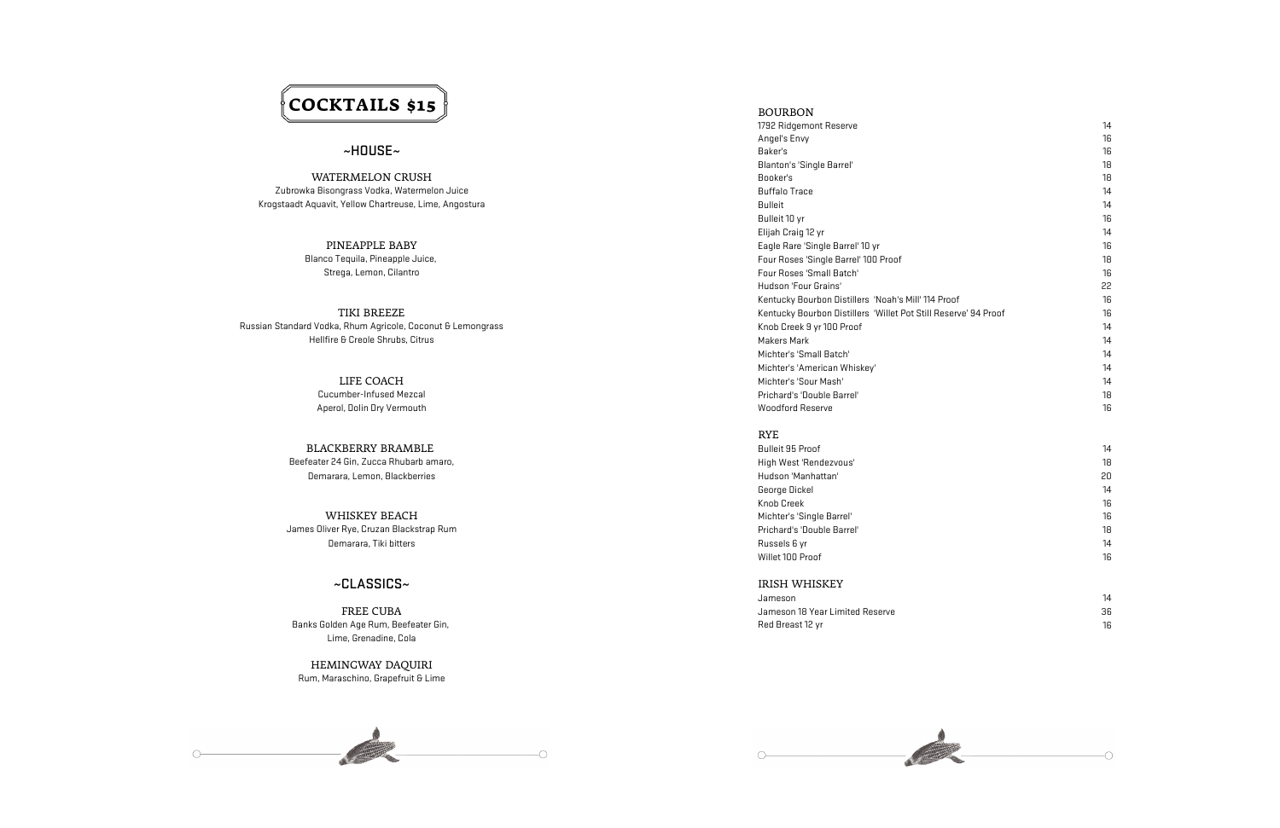# **COCKTAILS \$15**

WATERMELON CRUSH Booker's 1899 Booker's 1899 Booker's 1899 Booker's 1899 Booker's Zubrowka Bisongrass Vodka, Watermelon Juice Buffalo Trace 14 Krogstaadt Aquavit, Yellow Chartreuse, Lime, Angostura Bulleit 14 (1496) and 14 (1496) and 14 (1496) and 14 (1496) and 14 (1497) and 14 (1497) and 14 (1497) and 149 (1497) and 149 (1497) and 149 (1497) and 149 (1497) and 1

## BOURBON

1792 Ridgemont Reserve Angel's Envy 16  $\sim$  HOUSE $\sim$  16 Blanton's 'Single Barrel' 18 Bulleit 10 yr 16 Elijah Craig 12 yr PINEAPPLE BABY **Eagle Rare 'Single Barrel' 10 yr** Blanco Tequila, Pineapple Juice, and the state of the state of the state of the Sour Roses 'Single Barrel' 100 Proof Hudson 'Four Grains' Kentucky Bourbon Distillers 'Noah's Mill' 114 Proof TIKI BREEZE THE KENTUCKY BOURDON DISTRICTS IN THE POST STILL RESERVE 194 Proof Michter's 'Small Batch' Michter's 'American Whiskey' LIFE COACH Michter's 'Sour Mash' 14

Cucumber-Infused Mezcal Prichard's 'Double Barrel' 18 Aperol, Dolin Dry Vermouth National According to the United States of the United States of the Woodford Reserve

 $\circ$ 

RYE<br>Bulleit 95 Proof George Dickel 14 Knob Creek 16 Willet 100 Proof

Strega, Lemon, Cilantro Four Roses 'Small Batch' 16

Russian Standard Vodka, Rhum Agricole, Coconut & Lemongrass Knob Creek 9 yr 100 Proof 14 yr 100 Proof Hellfire & Creole Shrubs, Citrus and Share 14 and Share 14 and Share 14 and Share 14 and Makers Mark 14 and 14

BLACKBERRY BRAMBLE Beefeater 24 Gin, Zucca Rhubarb amaro, New York 1988, New York 1989, New York 1989, New York 1989, New York 18 Demarara, Lemon, Blackberries Hudson 'Manhattan' 20

WHISKEY BEACH Michter's 'Single Barrel' James Oliver Rye, Cruzan Blackstrap Rum Prichard's 'Double Barrel' 18 Demarara, Tiki bitters Russels 6 yr 14

Jameson 14 FREE CUBA **Show that the set of the CUBA** Jameson 18 Year Limited Reserve 36

| 14<br>16<br>16<br>18<br>18                                      |  |
|-----------------------------------------------------------------|--|
| 14<br>14<br>16                                                  |  |
| 14<br>16<br>18<br>16                                            |  |
| 22<br>16<br>16<br>14                                            |  |
| 14<br>14<br>14                                                  |  |
| 14<br>18<br>16                                                  |  |
| 14<br>18<br>20<br>14<br>16<br>16<br>18<br>$\overline{14}$<br>16 |  |
|                                                                 |  |

Banks Golden Age Rum, Beefeater Gin, North Age Red Breast 12 yr 16 and the Second Age Red Breast 12 yr 16 and the Second Age Rum, Beefeater Gin, North Age Red Breast 12 yr 16 and the Second Age Red Breast 12 yr 16 and the Lime, Grenadine, Cola

~CLASSICS~ IRISH WHISKEY

HEMINGWAY DAQUIRI Rum, Maraschino, Grapefruit & Lime

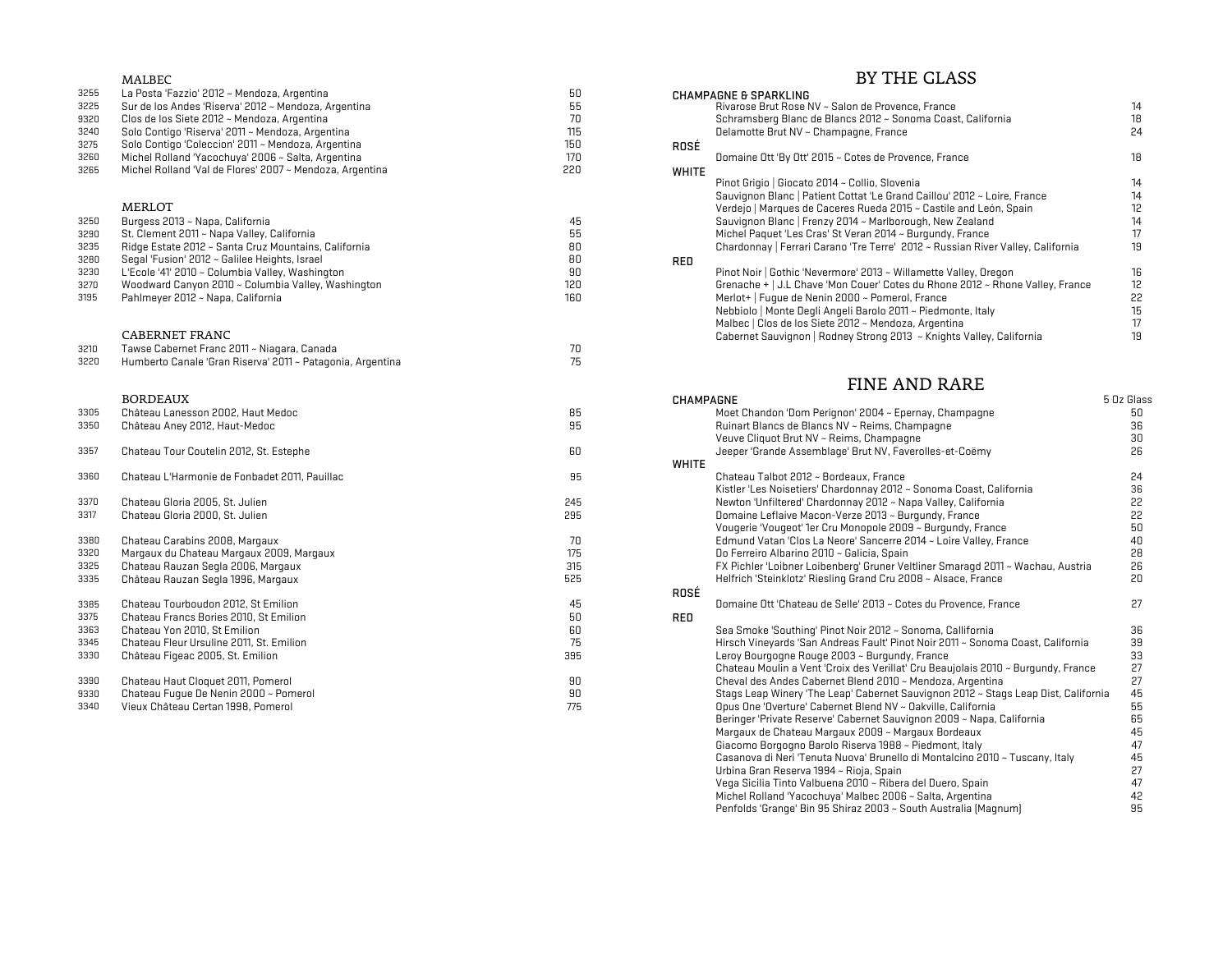|      | <b>MALBEC</b>                                              |     | BY THE GLASS                                                                                     |  |
|------|------------------------------------------------------------|-----|--------------------------------------------------------------------------------------------------|--|
| 3255 | La Posta 'Fazzio' 2012 ~ Mendoza, Argentina                | 50  | <b>CHAMPAGNE &amp; SPARKLING</b>                                                                 |  |
| 3225 | Sur de los Andes 'Riserva' 2012 ~ Mendoza, Argentina       | 55  | Rivarose Brut Rose NV ~ Salon de Provence, France<br>14                                          |  |
| 9320 | Clos de los Siete 2012 ~ Mendoza, Argentina                | 70  | 18<br>Schramsberg Blanc de Blancs 2012 ~ Sonoma Coast, California                                |  |
| 3240 | Solo Contigo 'Riserva' 2011 ~ Mendoza, Argentina           | 115 | 24<br>Delamotte Brut NV ~ Champagne, France                                                      |  |
| 3275 | Solo Contigo 'Coleccion' 2011 ~ Mendoza, Argentina         | 150 | ROSÉ                                                                                             |  |
| 3260 | Michel Rolland 'Yacochuya' 2006 ~ Salta, Argentina         | 170 | 18<br>Domaine Ott 'By Ott' 2015 ~ Cotes de Provence, France                                      |  |
| 3265 | Michel Rolland 'Val de Flores' 2007 ~ Mendoza, Argentina   | 220 | <b>WHITE</b>                                                                                     |  |
|      |                                                            |     | Pinot Grigio   Giocato 2014 ~ Collio, Slovenia<br>14                                             |  |
|      |                                                            |     | Sauvignon Blanc   Patient Cottat 'Le Grand Caillou' 2012 ~ Loire, France<br>14                   |  |
|      | <b>MERLOT</b>                                              |     | 12 <sub>2</sub><br>Verdejo   Marques de Caceres Rueda 2015 ~ Castile and León, Spain             |  |
| 3250 | Burgess 2013 ~ Napa, California                            | 45  | Sauvignon Blanc   Frenzy 2014 ~ Marlborough, New Zealand<br>14                                   |  |
| 3290 | St. Clement 2011 ~ Napa Valley, California                 | 55  | 17<br>Michel Paquet 'Les Cras' St Veran 2014 ~ Burgundy, France                                  |  |
| 3235 | Ridge Estate 2012 ~ Santa Cruz Mountains, California       | 80  | 19<br>Chardonnay   Ferrari Carano 'Tre Terre' 2012 ~ Russian River Valley, California            |  |
| 3280 | Segal 'Fusion' 2012 ~ Galilee Heights, Israel              | 80  |                                                                                                  |  |
| 3230 | L'Ecole '41' 2010 ~ Columbia Valley, Washington            | 90  | <b>RED</b><br>Pinot Noir   Gothic 'Nevermore' 2013 ~ Willamette Valley, Oregon<br>16             |  |
| 3270 | Woodward Canyon 2010 ~ Columbia Valley, Washington         | 120 | 12 <sub>2</sub><br>Grenache +   J.L Chave 'Mon Couer' Cotes du Rhone 2012 ~ Rhone Valley, France |  |
| 3195 | Pahlmeyer 2012 ~ Napa, California                          | 160 | 22<br>Merlot+   Fuque de Nenin 2000 ~ Pomerol, France                                            |  |
|      |                                                            |     | 15                                                                                               |  |
|      |                                                            |     | Nebbiolo   Monte Deqli Angeli Barolo 2011 ~ Piedmonte, Italy                                     |  |
|      | <b>CABERNET FRANC</b>                                      |     | 17<br>Malbec   Clos de los Siete 2012 ~ Mendoza, Argentina                                       |  |
|      |                                                            |     | 19<br>Cabernet Sauvignon   Rodney Strong 2013 ~ Knights Valley, California                       |  |
| 3210 | Tawse Cabernet Franc 2011 ~ Niagara, Canada                | 70  |                                                                                                  |  |
| 3220 | Humberto Canale 'Gran Riserva' 2011 ~ Patagonia, Argentina | 75  |                                                                                                  |  |
|      |                                                            |     | <b>FINE AND RARE</b>                                                                             |  |
|      | <b>BORDEAUX</b>                                            |     | <b>CHAMPAGNE</b><br>5 Oz Glass                                                                   |  |
| 3305 | Château Lanesson 2002, Haut Medoc                          | 85  | Moet Chandon 'Dom Perignon' 2004 ~ Epernay, Champagne<br>50                                      |  |
| 3350 | Château Aney 2012, Haut-Medoc                              | 95  | 36<br>Ruinart Blancs de Blancs NV ~ Reims, Champagne                                             |  |
|      |                                                            |     | Veuve Cliquot Brut NV ~ Reims, Champagne<br>30                                                   |  |
| 3357 | Chateau Tour Coutelin 2012, St. Estephe                    | 60  | 26<br>Jeeper 'Grande Assemblage' Brut NV, Faverolles-et-Coëmy                                    |  |
|      |                                                            |     | <b>WHITE</b>                                                                                     |  |
| 3360 | Chateau L'Harmonie de Fonbadet 2011, Pauillac              | 95  | Chateau Talbot 2012 ~ Bordeaux, France<br>24                                                     |  |
|      |                                                            |     | Kistler 'Les Noisetiers' Chardonnay 2012 ~ Sonoma Coast, California<br>36                        |  |
| 3370 | Chateau Gloria 2005, St. Julien                            | 245 | 22<br>Newton 'Unfiltered' Chardonnay 2012 ~ Napa Valley, California                              |  |
| 3317 | Chateau Gloria 2000, St. Julien                            | 295 | 22<br>Domaine Leflaive Macon-Verze 2013 ~ Burgundy, France                                       |  |
|      |                                                            |     | 50<br>Vougerie 'Vougeot' 1er Cru Monopole 2009 ~ Burgundy, France                                |  |
| 3380 | Chateau Carabins 2008, Margaux                             | 70  | 40<br>Edmund Vatan 'Clos La Neore' Sancerre 2014 ~ Loire Valley, France                          |  |
| 3320 | Margaux du Chateau Margaux 2009, Margaux                   | 175 | 28<br>Do Ferreiro Albarino 2010 ~ Galicia, Spain                                                 |  |
| 3325 | Chateau Rauzan Segla 2006, Margaux                         | 315 | FX Pichler 'Loibner Loibenberg' Gruner Veltliner Smaragd 2011 ~ Wachau, Austria<br>26            |  |
| 3335 | Château Rauzan Segla 1996, Margaux                         | 525 | 20<br>Helfrich 'Steinklotz' Riesling Grand Cru 2008 ~ Alsace, France                             |  |
|      |                                                            |     |                                                                                                  |  |
| 3385 | Chateau Tourboudon 2012, St Emilion                        | 45  | ROSÉ<br>27<br>Domaine Ott 'Chateau de Selle' 2013 ~ Cotes du Provence, France                    |  |
| 3375 | Chateau Francs Bories 2010, St Emilion                     | 50  | RED                                                                                              |  |
| 3363 | Chateau Yon 2010, St Emilion                               | 60  | Sea Smoke 'Southing' Pinot Noir 2012 ~ Sonoma, Callifornia<br>36                                 |  |
| 3345 | Chateau Fleur Ursuline 2011, St. Emilion                   | 75  | 39<br>Hirsch Vineyards 'San Andreas Fault' Pinot Noir 2011 ~ Sonoma Coast, California            |  |
| 3330 | Château Figeac 2005, St. Emilion                           | 395 | 33<br>Leroy Bourgogne Rouge 2003 ~ Burgundy, France                                              |  |
|      |                                                            |     | 27<br>Chateau Moulin a Vent 'Croix des Verillat' Cru Beaujolais 2010 ~ Burgundy, France          |  |
| 3390 | Chateau Haut Cloquet 2011, Pomerol                         | 90  | 27<br>Cheval des Andes Cabernet Blend 2010 ~ Mendoza, Argentina                                  |  |
| 9330 | Chateau Fuque De Nenin 2000 ~ Pomerol                      | 90  | 45<br>Stags Leap Winery 'The Leap' Cabernet Sauvignon 2012 ~ Stags Leap Dist, California         |  |
| 3340 | Vieux Château Certan 1998, Pomerol                         | 775 | 55<br>Opus One 'Overture' Cabernet Blend NV ~ Oakville, California                               |  |
|      |                                                            |     | Peringer 'Private Pesanua' Cabernet Sauvignen 2008 - Nana, California<br>CE.                     |  |

## BY THE GLASS

| La Posta 'Fazzio' 2012 ~ Mendoza, Argentina              | ьu  | <b>CHAMPAGNE &amp; SPARKLING</b>                                                         |                 |
|----------------------------------------------------------|-----|------------------------------------------------------------------------------------------|-----------------|
| Sur de los Andes 'Riserva' 2012 ~ Mendoza, Argentina     | פט  | Rivarose Brut Rose NV ~ Salon de Provence, France                                        | 14              |
| Clos de los Siete 2012 ~ Mendoza, Argentina              |     | Schramsberg Blanc de Blancs 2012 ~ Sonoma Coast, California                              | 18              |
| Solo Contigo 'Riserva' 2011 ~ Mendoza, Argentina         | 115 | Delamotte Brut NV ~ Champagne, France                                                    | 24              |
| Solo Contigo 'Coleccion' 2011 ~ Mendoza, Argentina       | 150 | ROSÉ                                                                                     |                 |
| Michel Rolland 'Yacochuya' 2006 ~ Salta, Argentina       | 170 | Domaine Ott 'By Ott' 2015 ~ Cotes de Provence, France                                    | 18              |
| Michel Rolland 'Val de Flores' 2007 ~ Mendoza, Argentina | 220 | WHITE                                                                                    |                 |
|                                                          |     | Pinot Grigio   Giocato 2014 ~ Collio, Slovenia                                           | 14              |
|                                                          |     | Sauvignon Blanc   Patient Cottat 'Le Grand Caillou' 2012 ~ Loire, France                 | 14              |
| MERLOT                                                   |     | Verdejo   Marques de Caceres Rueda 2015 ~ Castile and León, Spain                        | 12.             |
| Burgess 2013 ~ Napa, California                          | 45  | Sauvignon Blanc   Frenzy 2014 ~ Marlborough, New Zealand                                 | 14              |
| St. Clement 2011 ~ Napa Valley, California               | 55  | Michel Paquet 'Les Cras' St Veran 2014 ~ Burgundy, France                                | 17              |
| Ridge Estate 2012 ~ Santa Cruz Mountains, California     | 80  | Chardonnay   Ferrari Carano 'Tre Terre' 2012 ~ Russian River Valley, California          | 19              |
| Segal 'Fusion' 2012 ~ Galilee Heights, Israel            | 80  | <b>RED</b>                                                                               |                 |
| L'Ecole '41' 2010 ~ Columbia Valley, Washington          | 90  | Pinot Noir   Gothic 'Nevermore' 2013 ~ Willamette Valley, Oregon                         | 16              |
| Woodward Canyon 2010 ~ Columbia Valley, Washington       | 120 | Grenache + $\vert$ J.L Chave 'Mon Couer' Cotes du Rhone 2012 $\sim$ Rhone Valley, France | 12 <sup>°</sup> |
| Pahlmeyer 2012 ~ Napa, California                        | 160 | Merlot+   Fuque de Nenin 2000 ~ Pomerol, France                                          | 22              |
|                                                          |     | Nebbiolo   Monte Degli Angeli Barolo 2011 ~ Piedmonte, Italy                             | 15.             |
|                                                          |     | Malbec   Clos de los Siete 2012 ~ Mendoza, Argentina                                     |                 |
| CABERNET FRANC                                           |     | Cabernet Sauvignon   Rodney Strong 2013 ~ Knights Valley, California                     | 19              |
| Tawse Pahernet Frans 2011 - Niagara, Panada              | 7∩  |                                                                                          |                 |

## FINE AND RARE

| LHAMPALNE    |                                                                                    | a uz Giass |
|--------------|------------------------------------------------------------------------------------|------------|
|              | Moet Chandon 'Dom Perignon' 2004 ~ Epernay, Champagne                              | 50         |
|              | Ruinart Blancs de Blancs NV ~ Reims, Champagne                                     | 36         |
|              | Veuve Cliquot Brut NV ~ Reims, Champagne                                           | 30         |
|              | Jeeper 'Grande Assemblage' Brut NV, Faverolles-et-Coëmy                            | 26         |
| <b>WHITE</b> |                                                                                    |            |
|              | Chateau Talbot 2012 ~ Bordeaux, France                                             | 24         |
|              | Kistler 'Les Noisetiers' Chardonnay 2012 ~ Sonoma Coast, California                | 36         |
|              | Newton 'Unfiltered' Chardonnay 2012 ~ Napa Valley, California                      | 22         |
|              | Domaine Leflaive Macon-Verze 2013 ~ Burgundy, France                               | 22         |
|              | Vougerie 'Vougeot' 1er Cru Monopole 2009 ~ Burgundy, France                        | 50         |
|              | Edmund Vatan 'Clos La Neore' Sancerre 2014 ~ Loire Valley, France                  | 40         |
|              | Do Ferreiro Albarino 2010 ~ Galicia, Spain                                         | 28         |
|              | FX Pichler 'Loibner Loibenberg' Gruner Veltliner Smaragd 2011 ~ Wachau, Austria    | 26         |
|              | Helfrich 'Steinklotz' Riesling Grand Cru 2008 ~ Alsace, France                     | 20         |
| ROSÉ         |                                                                                    |            |
|              | Domaine Ott 'Chateau de Selle' 2013 ~ Cotes du Provence, France                    | 27         |
| <b>RED</b>   |                                                                                    |            |
|              | Sea Smoke 'Southing' Pinot Noir 2012 ~ Sonoma, Callifornia                         | 36         |
|              | Hirsch Vineyards 'San Andreas Fault' Pinot Noir 2011 ~ Sonoma Coast, California    | 39         |
|              | Leroy Bourgogne Rouge 2003 ~ Burgundy, France                                      | 33         |
|              | Chateau Moulin a Vent 'Croix des Verillat' Cru Beaujolais 2010 ~ Burgundy, France  | 27         |
|              | Cheval des Andes Cabernet Blend 2010 ~ Mendoza, Argentina                          | 27         |
|              | Stags Leap Winery 'The Leap' Cabernet Sauvignon 2012 ~ Stags Leap Dist, California | 45         |
|              | Opus One 'Overture' Cabernet Blend NV ~ Oakville, California                       | 55         |
|              | Beringer 'Private Reserve' Cabernet Sauvignon 2009 ~ Napa, California              | 65         |
|              | Margaux de Chateau Margaux 2009 ~ Margaux Bordeaux                                 | 45         |
|              | Giacomo Borgogno Barolo Riserva 1988 ~ Piedmont, Italy                             | 47         |
|              | Casanova di Neri 'Tenuta Nuova' Brunello di Montalcino 2010 ~ Tuscany, Italy       | 45         |
|              | Urbina Gran Reserva 1994 ~ Rioja, Spain                                            | 27         |
|              | Vega Sicilia Tinto Valbuena 2010 ~ Ribera del Duero, Spain                         | 47         |
|              | Michel Rolland 'Yacochuya' Malbec 2006 ~ Salta, Argentina                          | 42         |
|              | Penfolds 'Grange' Bin 95 Shiraz 2003 ~ South Australia (Magnum)                    | 95         |
|              |                                                                                    |            |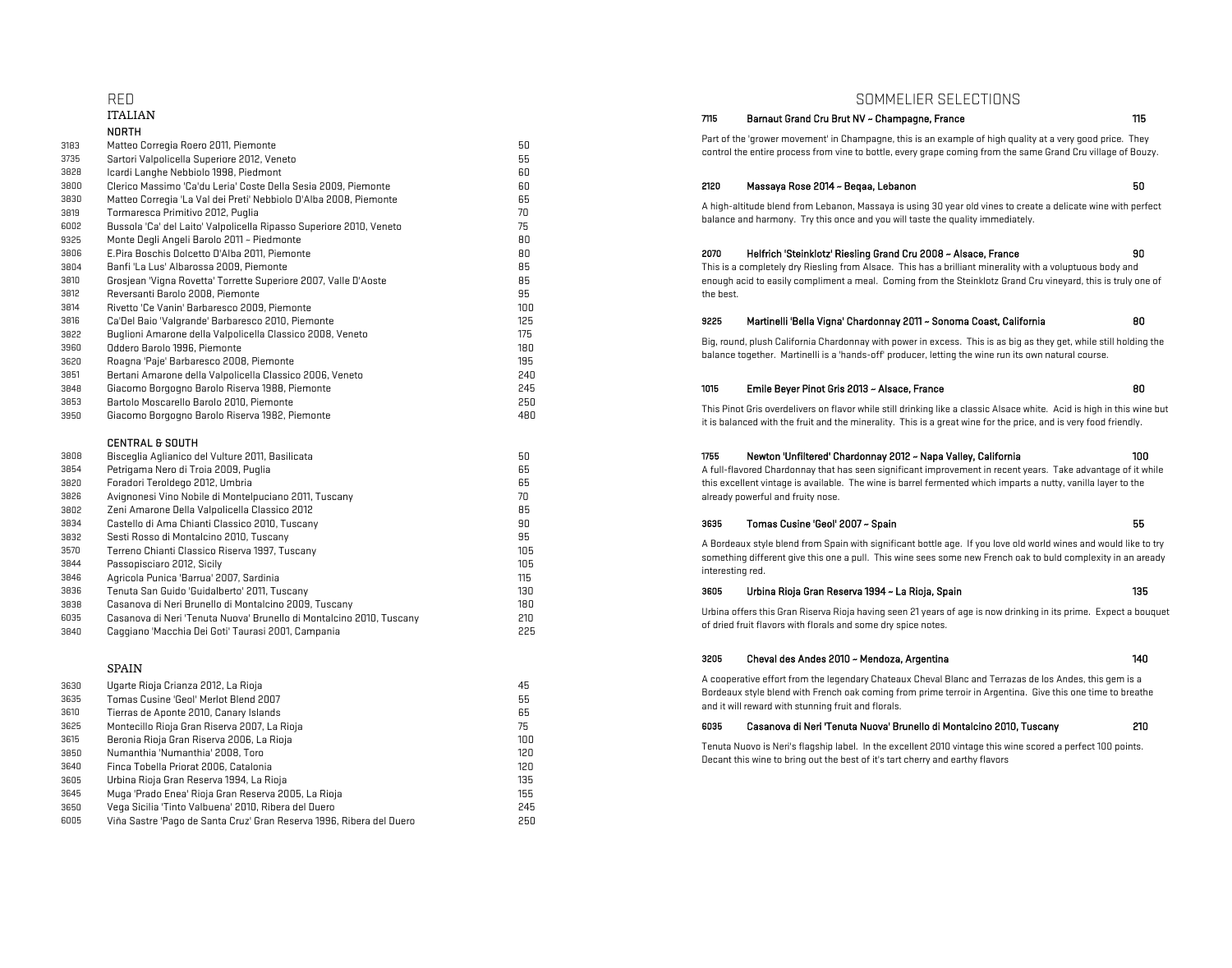## NORTH Matteo Corregia Roero 2011, Piemonte 50 Sartori Valpolicella Superiore 2012, Veneto 55 Icardi Langhe Nebbiolo 1998, Piedmont 60 Clerico Massimo 'Ca'du Leria' Coste Della Sesia 2009, Piemonte 60 2120 Massaya Rose 2014 ~ Beqaa, Lebanon 50 Matteo Corregia 'La Val dei Preti' Nebbiolo D'Alba 2008, Piemonte 65 Tormaresca Primitivo 2012, Puglia 70 Bussola 'Ca' del Laito' Valpolicella Ripasso Superiore 2010, Veneto 75 Monte Degli Angeli Barolo 2011 ~ Piedmonte 80 E.Pira Boschis Dolcetto D'Alba 2011, Piemonte 80 2070 Helfrich 'Steinklotz' Riesling Grand Cru 2008 ~ Alsace, France 90 Banfi 'La Lus' Albarossa 2009, Piemonte 85 Grosjean 'Vigna Rovetta' Torrette Superiore 2007, Valle D'Aoste 85 Reversanti Barolo 2008, Piemonte 95 Rivetto 'Ce Vanin' Barbaresco 2009, Piemonte 100 Ca'Del Baio 'Valgrande' Barbaresco 2010, Piemonte 125 9225 Martinelli 'Bella Vigna' Chardonnay 2011 ~ Sonoma Coast, California 80 Buglioni Amarone della Valpolicella Classico 2008, Veneto 175 Oddero Barolo 1996, Piemonte 180 Roagna 'Paje' Barbaresco 2008, Piemonte 195 Bertani Amarone della Valpolicella Classico 2006, Veneto 240 Giacomo Borgogno Barolo Riserva 1988, Piemonte 245 1015 Emile Beyer Pinot Gris 2013 ~ Alsace, France 80 Bartolo Moscarello Barolo 2010, Piemonte 250 Giacomo Borgogno Barolo Riserva 1982, Piemonte 480 CENTRAL & SOUTH<br>Bisceglia Aglianico del Vulture 2011, Basilicata Bisceglia Aglianico del Vulture 2011, Basilicata 50 1755 Newton 'Unfiltered' Chardonnay 2012 ~ Napa Valley, California 100 Petrigama Nero di Troia 2009, Puglia 65 Foradori Teroldego 2012, Umbria 65 Avignonesi Vino Nobile di Montelpuciano 2011, Tuscany 70 Zeni Amarone Della Valpolicella Classico 2012 85 Castello di Ama Chianti Classico 2010, Tuscany 90 3635 Tomas Cusine 'Geol' 2007 ~ Spain 55 Sesti Rosso di Montalcino 2010, Tuscany 95 Terreno Chianti Classico Riserva 1997, Tuscany 105 Passopisciaro 2012, Sicily 105 Agricola Punica 'Barrua' 2007, Sardinia 115 3836 Tenuta San Guido 'Guidalberto' 2011, Tuscany 135 130 3605 Urbina Rioja Gran Reserva 1994 ~ La Rioja, Spain 135 Casanova di Neri Brunello di Montalcino 2009, Tuscany 180 Casanova di Neri 'Tenuta Nuova' Brunello di Montalcino 2010, Tuscany 210 Caggiano 'Macchia Dei Goti' Taurasi 2001, Campania 225

## SPAIN

| 3630 | Ugarte Rioja Crianza 2012, La Rioja                                  | 45  |
|------|----------------------------------------------------------------------|-----|
| 3635 | Tomas Cusine 'Geol' Merlot Blend 2007                                | 55  |
| 3610 | Tierras de Aponte 2010, Canary Islands                               | 65  |
| 3625 | Montecillo Rioja Gran Riserva 2007, La Rioja                         | 75  |
| 3615 | Beronia Rioja Gran Riserva 2006, La Rioja                            | 100 |
| 3850 | Numanthia 'Numanthia' 2008, Toro                                     | 120 |
| 3640 | Finca Tobella Priorat 2006, Catalonia                                | 120 |
| 3605 | Urbina Rioja Gran Reserva 1994, La Rioja                             | 135 |
| 3645 | Muga 'Prado Enea' Rioja Gran Reserva 2005, La Rioja                  | 155 |
| 3650 | Vega Sicilia 'Tinto Valbuena' 2010, Ribera del Duero                 | 245 |
| 6005 | Viña Sastre 'Pago de Santa Cruz' Gran Reserva 1996, Ribera del Duero | 250 |

# RED SOMMELIER SELECTIONS<br>The Barnaut Grand Cru Brut NV & Champanne France

## 7115 Barnaut Grand Cru Brut NV ~ Champagne, France 115

Part of the 'grower movement' in Champagne, this is an example of high quality at a very good price. They control the entire process from vine to bottle, every grape coming from the same Grand Cru village of Bouzy.

A high-altitude blend from Lebanon, Massaya is using 30 year old vines to create a delicate wine with perfect balance and harmony. Try this once and you will taste the quality immediately.

# This is a completely dry Riesling from Alsace. This has a brilliant minerality with a voluptuous body and enough acid to easily compliment a meal. Coming from the Steinklotz Grand Cru vineyard, this is truly one of the best.

# Big, round, plush California Chardonnay with power in excess. This is as big as they get, while still holding the

balance together. Martinelli is a 'hands-off' producer, letting the wine run its own natural course.

This Pinot Gris overdelivers on flavor while still drinking like a classic Alsace white. Acid is high in this wine but it is balanced with the fruit and the minerality. This is a great wine for the price, and is very food friendly.

A full-flavored Chardonnay that has seen significant improvement in recent years. Take advantage of it while this excellent vintage is available. The wine is barrel fermented which imparts a nutty, vanilla layer to the already powerful and fruity nose.

A Bordeaux style blend from Spain with significant bottle age. If you love old world wines and would like to try something different give this one a pull. This wine sees some new French oak to buld complexity in an aready interesting red.

Urbina offers this Gran Riserva Rioja having seen 21 years of age is now drinking in its prime. Expect a bouquet of dried fruit flavors with florals and some dry spice notes.

## Cheval des Andes 2010 ~ Mendoza, Argentina 140

A cooperative effort from the legendary Chateaux Cheval Blanc and Terrazas de los Andes, this gem is a Bordeaux style blend with French oak coming from prime terroir in Argentina. Give this one time to breathe and it will reward with stunning fruit and florals.

## Montecillo Rioja Gran Riserva 2007, La Rioja 75 6035 Casanova di Neri 'Tenuta Nuova' Brunello di Montalcino 2010, Tuscany 210

Tenuta Nuovo is Neri's flagship label. In the excellent 2010 vintage this wine scored a perfect 100 points. Decant this wine to bring out the best of it's tart cherry and earthy flavors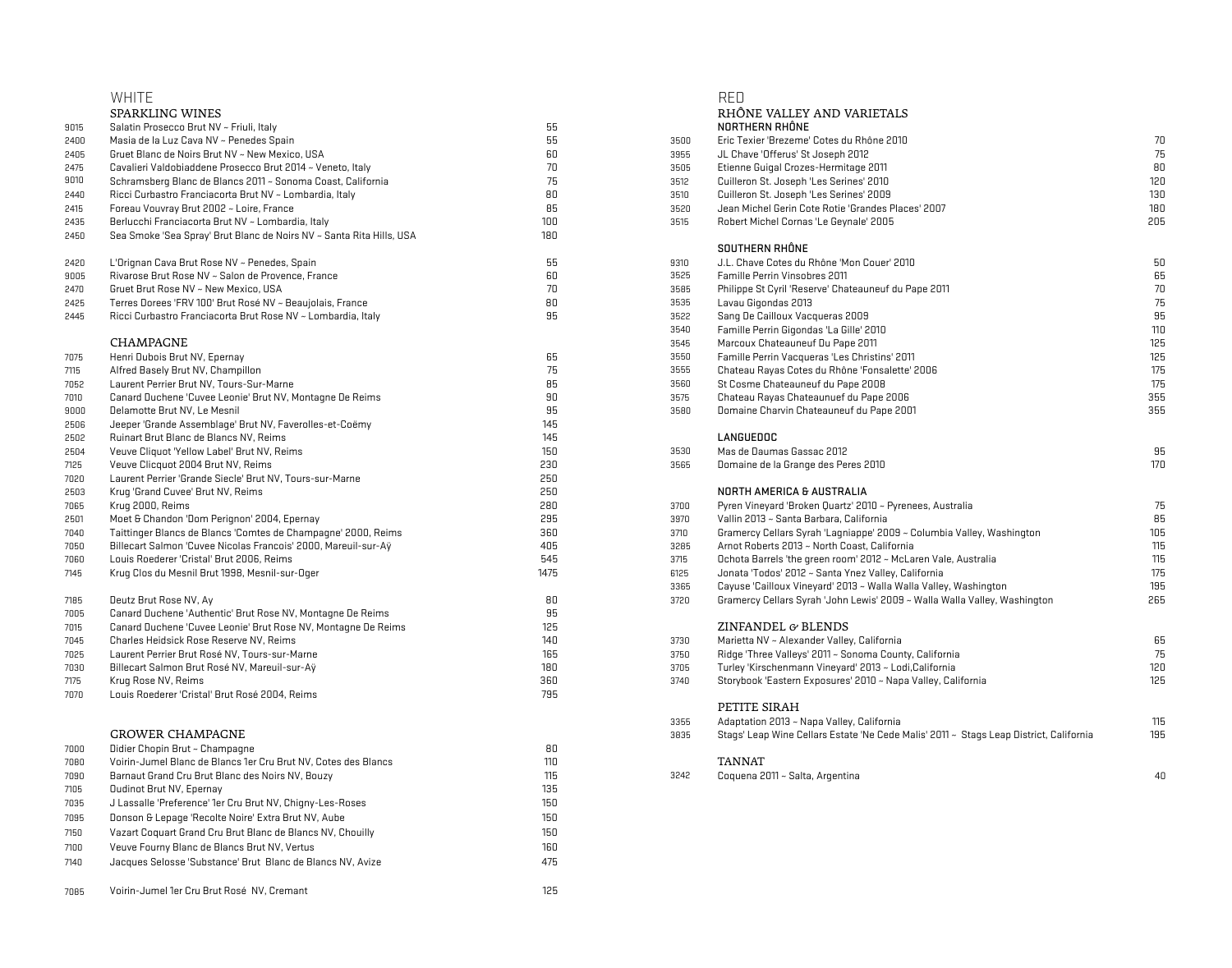|              | <b>WHITE</b>                                                                                             |          |      | RED                                                                                    |     |
|--------------|----------------------------------------------------------------------------------------------------------|----------|------|----------------------------------------------------------------------------------------|-----|
|              | SPARKLING WINES                                                                                          |          |      | RHÔNE VALLEY AND VARIETALS                                                             |     |
| 9015         | Salatin Prosecco Brut NV ~ Friuli, Italy                                                                 | 55       |      | NORTHERN RHÔNE                                                                         |     |
| 2400         | Masia de la Luz Cava NV ~ Penedes Spain                                                                  | 55       | 3500 | Eric Texier 'Brezeme' Cotes du Rhône 2010                                              | 70  |
| 2405         | Gruet Blanc de Noirs Brut NV ~ New Mexico, USA                                                           | 60       | 3955 | JL Chave 'Offerus' St Joseph 2012                                                      | 75  |
| 2475         | Cavalieri Valdobiaddene Prosecco Brut 2014 ~ Veneto, Italy                                               | 70       | 3505 | Etienne Guigal Crozes-Hermitage 2011                                                   | 80  |
| 9010         | Schramsberg Blanc de Blancs 2011 ~ Sonoma Coast, California                                              | 75       | 3512 | Cuilleron St. Joseph 'Les Serines' 2010                                                | 120 |
| 2440         | Ricci Curbastro Franciacorta Brut NV ~ Lombardia, Italy                                                  | 80       | 3510 | Cuilleron St. Joseph 'Les Serines' 2009                                                | 130 |
| 2415         | Foreau Vouvray Brut 2002 ~ Loire, France                                                                 | 85       | 3520 | Jean Michel Gerin Cote Rotie 'Grandes Places' 2007                                     | 180 |
| 2435         | Berlucchi Franciacorta Brut NV ~ Lombardia, Italy                                                        | 100      | 3515 | Robert Michel Cornas 'Le Geynale' 2005                                                 | 205 |
| 2450         | Sea Smoke 'Sea Spray' Brut Blanc de Noirs NV ~ Santa Rita Hills, USA                                     | 180      |      |                                                                                        |     |
|              |                                                                                                          |          |      | SOUTHERN RHÔNE                                                                         |     |
| 2420         | L'Orignan Cava Brut Rose NV ~ Penedes, Spain                                                             | 55       | 9310 | J.L. Chave Cotes du Rhône 'Mon Couer' 2010                                             | 50  |
| 9005         | Rivarose Brut Rose NV ~ Salon de Provence, France                                                        | 60       | 3525 | Famille Perrin Vinsobres 2011                                                          | 65  |
| 2470         | Gruet Brut Rose NV ~ New Mexico, USA                                                                     | 70       | 3585 | Philippe St Cyril 'Reserve' Chateauneuf du Pape 2011                                   | 70  |
| 2425         | Terres Dorees 'FRV 100' Brut Rosé NV ~ Beaujolais, France                                                | 80       | 3535 | Lavau Gigondas 2013                                                                    | 75  |
| 2445         | Ricci Curbastro Franciacorta Brut Rose NV ~ Lombardia, Italy                                             | 95       | 3522 | Sang De Cailloux Vacqueras 2009                                                        | 95  |
|              |                                                                                                          |          | 3540 | Famille Perrin Gigondas 'La Gille' 2010                                                | 110 |
|              | CHAMPAGNE                                                                                                |          | 3545 | Marcoux Chateauneuf Du Pape 2011                                                       | 125 |
| 7075         | Henri Dubois Brut NV, Epernay                                                                            | 65       | 3550 | Famille Perrin Vacqueras 'Les Christins' 2011                                          | 125 |
| 7115         | Alfred Basely Brut NV, Champillon                                                                        | 75       | 3555 | Chateau Rayas Cotes du Rhône 'Fonsalette' 2006                                         | 175 |
| 7052         | Laurent Perrier Brut NV, Tours-Sur-Marne                                                                 | 85       | 3560 | St Cosme Chateauneuf du Pape 2008                                                      | 175 |
| 7010         | Canard Duchene 'Cuvee Leonie' Brut NV, Montagne De Reims                                                 | 90       | 3575 | Chateau Rayas Chateaunuef du Pape 2006                                                 | 355 |
| 9000         | Delamotte Brut NV, Le Mesnil                                                                             | 95       | 3580 | Domaine Charvin Chateauneuf du Pape 2001                                               | 355 |
| 2506         | Jeeper 'Grande Assemblage' Brut NV, Faverolles-et-Coëmy                                                  | 145      |      |                                                                                        |     |
| 2502         | Ruinart Brut Blanc de Blancs NV, Reims                                                                   | 145      |      | <b>LANGUEDOC</b>                                                                       |     |
| 2504         | Veuve Cliquot 'Yellow Label' Brut NV, Reims                                                              | 150      | 3530 | Mas de Daumas Gassac 2012                                                              | 95  |
| 7125         | Veuve Clicquot 2004 Brut NV, Reims                                                                       | 230      | 3565 | Domaine de la Grange des Peres 2010                                                    | 170 |
| 7020         | Laurent Perrier 'Grande Siecle' Brut NV, Tours-sur-Marne                                                 | 250      |      |                                                                                        |     |
| 2503         | Krug 'Grand Cuvee' Brut NV, Reims                                                                        | 250      |      | NORTH AMERICA & AUSTRALIA                                                              |     |
| 7065         | Krug 2000, Reims                                                                                         | 280      | 3700 | Pyren Vineyard 'Broken Quartz' 2010 ~ Pyrenees, Australia                              | 75  |
| 2501         | Moet & Chandon 'Dom Perignon' 2004, Epernay                                                              | 295      | 3970 | Vallin 2013 ~ Santa Barbara, California                                                | 85  |
| 7040         | Taittinger Blancs de Blancs 'Comtes de Champagne' 2000, Reims                                            | 360      | 3710 | Gramercy Cellars Syrah 'Lagniappe' 2009 ~ Columbia Valley, Washington                  | 105 |
| 7050         | Billecart Salmon 'Cuvee Nicolas Francois' 2000, Mareuil-sur-Ay                                           | 405      | 3285 | Arnot Roberts 2013 ~ North Coast, California                                           | 115 |
| 7060         | Louis Roederer 'Cristal' Brut 2006, Reims                                                                | 545      | 3715 | Ochota Barrels 'the green room' 2012 ~ McLaren Vale, Australia                         | 115 |
| 7145         | Krug Clos du Mesnil Brut 1998, Mesnil-sur-Oger                                                           | 1475     | 6125 | Jonata 'Todos' 2012 ~ Santa Ynez Valley, California                                    | 175 |
|              |                                                                                                          |          | 3365 | Cayuse 'Cailloux Vineyard' 2013 ~ Walla Walla Valley, Washington                       | 195 |
| 7185         | Deutz Brut Rose NV, Ay                                                                                   | 80<br>95 | 3720 | Gramercy Cellars Syrah 'John Lewis' 2009 ~ Walla Walla Valley, Washington              | 265 |
| 7005         | Canard Duchene 'Authentic' Brut Rose NV, Montagne De Reims                                               | 125      |      | ZINFANDEL & BLENDS                                                                     |     |
| 7015<br>7045 | Canard Duchene 'Cuvee Leonie' Brut Rose NV, Montagne De Reims<br>Charles Heidsick Rose Reserve NV, Reims | 140      | 3730 | Marietta NV ~ Alexander Valley, California                                             | 65  |
| 7025         | Laurent Perrier Brut Rosé NV, Tours-sur-Marne                                                            | 165      | 3750 | Ridge 'Three Valleys' 2011 ~ Sonoma County, California                                 | 75  |
| 7030         | Billecart Salmon Brut Rosé NV, Mareuil-sur-Aÿ                                                            | 180      | 3705 | Turley 'Kirschenmann Vineyard' 2013 ~ Lodi, California                                 | 120 |
| 7175         | Krug Rose NV, Reims                                                                                      | 360      | 3740 | Storybook 'Eastern Exposures' 2010 ~ Napa Valley, California                           | 125 |
| 7070         | Louis Roederer 'Cristal' Brut Rosé 2004, Reims                                                           | 795      |      |                                                                                        |     |
|              |                                                                                                          |          |      | PETITE SIRAH                                                                           |     |
|              |                                                                                                          |          | 3355 | Adaptation 2013 ~ Napa Valley, California                                              | 115 |
|              | <b>GROWER CHAMPAGNE</b>                                                                                  |          | 3835 | Stags' Leap Wine Cellars Estate 'Ne Cede Malis' 2011 ~ Stags Leap District, California | 195 |
| 7000         | Didier Chopin Brut ~ Champagne                                                                           | 80       |      |                                                                                        |     |
| 7080         | Voirin-Jumel Blanc de Blancs 1er Cru Brut NV, Cotes des Blancs                                           | 110      |      | <b>TANNAT</b>                                                                          |     |
| 7090         | Barnaut Grand Cru Brut Blanc des Noirs NV, Bouzy                                                         | 115      | 3242 | Coquena 2011 ~ Salta, Argentina                                                        | 40  |
| 7105         | <b>Oudinot Brut NV, Epernay</b>                                                                          | 135      |      |                                                                                        |     |
| 7035         | J Lassalle 'Preference' 1er Cru Brut NV, Chigny-Les-Roses                                                | 150      |      |                                                                                        |     |
| 7095         | Donson & Lepage 'Recolte Noire' Extra Brut NV, Aube                                                      | 150      |      |                                                                                        |     |
| 7150         | Vazart Coquart Grand Cru Brut Blanc de Blancs NV, Chouilly                                               | 150      |      |                                                                                        |     |
|              | Veuve Fourny Blanc de Blancs Brut NV, Vertus                                                             | 160      |      |                                                                                        |     |
| 7100         |                                                                                                          |          |      |                                                                                        |     |
| 7140         | Jacques Selosse 'Substance' Brut Blanc de Blancs NV, Avize                                               | 475      |      |                                                                                        |     |

Voirin-Jumel 1er Cru Brut Rosé NV, Cremant 125

| SPARKLING WINES                                                      |      |      | RHÔNE VALLEY AND VARIETALS                                                             |     |
|----------------------------------------------------------------------|------|------|----------------------------------------------------------------------------------------|-----|
| Salatin Prosecco Brut NV ~ Friuli, Italy                             | 55   |      | NORTHERN RHÔNE                                                                         |     |
| Masia de la Luz Cava NV ~ Penedes Spain                              | 55   | 3500 | Eric Texier 'Brezeme' Cotes du Rhône 2010                                              | 70  |
| Gruet Blanc de Noirs Brut NV ~ New Mexico, USA                       | 60   | 3955 | JL Chave 'Offerus' St Joseph 2012                                                      | 75  |
| Cavalieri Valdobiaddene Prosecco Brut 2014 ~ Veneto, Italy           | 70   | 3505 | Etienne Guigal Crozes-Hermitage 2011                                                   | 80  |
| Schramsberg Blanc de Blancs 2011 ~ Sonoma Coast, California          | 75   | 3512 | Cuilleron St. Joseph 'Les Serines' 2010                                                | 120 |
| Ricci Curbastro Franciacorta Brut NV ~ Lombardia, Italy              | 80   | 3510 | Cuilleron St. Joseph 'Les Serines' 2009                                                | 130 |
| Foreau Vouvray Brut 2002 ~ Loire, France                             | 85   | 3520 | Jean Michel Gerin Cote Rotie 'Grandes Places' 2007                                     | 180 |
| Berlucchi Franciacorta Brut NV ~ Lombardia, Italy                    | 100  | 3515 | Robert Michel Cornas 'Le Geynale' 2005                                                 | 205 |
| Sea Smoke 'Sea Spray' Brut Blanc de Noirs NV ~ Santa Rita Hills, USA | 180  |      |                                                                                        |     |
|                                                                      |      |      | SOUTHERN RHÔNE                                                                         |     |
| L'Orignan Cava Brut Rose NV ~ Penedes, Spain                         | 55   | 9310 | J.L. Chave Cotes du Rhône 'Mon Couer' 2010                                             | 50  |
| Rivarose Brut Rose NV ~ Salon de Provence, France                    | 60   | 3525 | Famille Perrin Vinsobres 2011                                                          | 65  |
| Gruet Brut Rose NV ~ New Mexico, USA                                 | 70   | 3585 | Philippe St Cyril 'Reserve' Chateauneuf du Pape 2011                                   | 70  |
| Terres Dorees 'FRV 100' Brut Rosé NV ~ Beaujolais, France            | 80   | 3535 | Lavau Gigondas 2013                                                                    | 75  |
| Ricci Curbastro Franciacorta Brut Rose NV ~ Lombardia, Italy         | 95   | 3522 | Sang De Cailloux Vacqueras 2009                                                        | 95  |
|                                                                      |      | 3540 | Famille Perrin Gigondas 'La Gille' 2010                                                | 110 |
| CHAMPAGNE                                                            |      | 3545 | Marcoux Chateauneuf Du Pape 2011                                                       | 125 |
| Henri Dubois Brut NV, Epernay                                        | 65   | 3550 | Famille Perrin Vacqueras 'Les Christins' 2011                                          | 125 |
| Alfred Basely Brut NV, Champillon                                    | 75   | 3555 | Chateau Rayas Cotes du Rhône 'Fonsalette' 2006                                         | 175 |
| Laurent Perrier Brut NV, Tours-Sur-Marne                             | 85   | 3560 | St Cosme Chateauneuf du Pape 2008                                                      | 175 |
| Canard Duchene 'Cuvee Leonie' Brut NV, Montagne De Reims             | 90   | 3575 | Chateau Rayas Chateaunuef du Pape 2006                                                 | 355 |
| Delamotte Brut NV, Le Mesnil                                         | 95   | 3580 | Domaine Charvin Chateauneuf du Pape 2001                                               | 355 |
| Jeeper 'Grande Assemblage' Brut NV, Faverolles-et-Coëmy              | 145  |      |                                                                                        |     |
| Ruinart Brut Blanc de Blancs NV, Reims                               | 145  |      | LANGUEDOC                                                                              |     |
| Veuve Cliquot 'Yellow Label' Brut NV, Reims                          | 150  | 3530 | Mas de Daumas Gassac 2012                                                              | 95  |
| Veuve Clicquot 2004 Brut NV, Reims                                   | 230  | 3565 | Domaine de la Grange des Peres 2010                                                    | 170 |
| Laurent Perrier 'Grande Siecle' Brut NV, Tours-sur-Marne             | 250  |      |                                                                                        |     |
| Krug 'Grand Cuvee' Brut NV, Reims                                    | 250  |      | NORTH AMERICA & AUSTRALIA                                                              |     |
| Krug 2000, Reims                                                     | 280  | 3700 | Pyren Vineyard 'Broken Quartz' 2010 ~ Pyrenees, Australia                              | 75  |
| Moet & Chandon 'Dom Perignon' 2004, Epernay                          | 295  | 3970 | Vallin 2013 ~ Santa Barbara, California                                                | 85  |
| Taittinger Blancs de Blancs 'Comtes de Champagne' 2000, Reims        | 360  | 3710 | Gramercy Cellars Syrah 'Lagniappe' 2009 ~ Columbia Valley, Washington                  | 105 |
| Billecart Salmon 'Cuvee Nicolas Francois' 2000, Mareuil-sur-Aÿ       | 405  | 3285 | Arnot Roberts 2013 ~ North Coast, California                                           | 115 |
| Louis Roederer 'Cristal' Brut 2006, Reims                            | 545  | 3715 | Ochota Barrels 'the green room' 2012 ~ McLaren Vale, Australia                         | 115 |
| Krug Clos du Mesnil Brut 1998, Mesnil-sur-Oger                       | 1475 | 6125 | Jonata 'Todos' 2012 ~ Santa Ynez Valley, California                                    | 175 |
|                                                                      |      | 3365 | Cayuse 'Cailloux Vineyard' 2013 ~ Walla Walla Valley, Washington                       | 195 |
| Deutz Brut Rose NV, Ay                                               | 80   | 3720 | Gramercy Cellars Syrah 'John Lewis' 2009 ~ Walla Walla Valley, Washington              | 265 |
| Canard Duchene 'Authentic' Brut Rose NV, Montagne De Reims           | 95   |      |                                                                                        |     |
| Canard Duchene 'Cuvee Leonie' Brut Rose NV, Montagne De Reims        | 125  |      | ZINFANDEL & BLENDS                                                                     |     |
| Charles Heidsick Rose Reserve NV, Reims                              | 140  | 3730 | Marietta NV ~ Alexander Valley, California                                             | 65  |
| Laurent Perrier Brut Rosé NV, Tours-sur-Marne                        | 165  | 3750 | Ridge 'Three Valleys' 2011 ~ Sonoma County, California                                 | 75  |
| Billecart Salmon Brut Rosé NV, Mareuil-sur-Aÿ                        | 180  | 3705 | Turley 'Kirschenmann Vineyard' 2013 ~ Lodi, California                                 | 120 |
| Krug Rose NV, Reims                                                  | 360  | 3740 | Storybook 'Eastern Exposures' 2010 ~ Napa Valley, California                           | 125 |
| Louis Roederer 'Cristal' Brut Rosé 2004, Reims                       | 795  |      |                                                                                        |     |
|                                                                      |      |      | PETITE SIRAH                                                                           |     |
|                                                                      |      | 3355 | Adaptation 2013 ~ Napa Valley, California                                              | 115 |
| GROWER CHAMPAGNE                                                     |      | 3835 | Stags' Leap Wine Cellars Estate 'Ne Cede Malis' 2011 ~ Stags Leap District, California | 195 |
| Didier Chopin Brut ~ Champagne                                       | 80   |      |                                                                                        |     |
| Voirin-Jumel Blanc de Blancs 1er Cru Brut NV, Cotes des Blancs       | 110  |      | <b>TANNAT</b>                                                                          |     |
| Barnaut Grand Cru Brut Blanc des Noirs NV, Bouzy                     | 115  | 3242 | Coquena 2011 ~ Salta, Argentina                                                        | 40  |
|                                                                      |      |      |                                                                                        |     |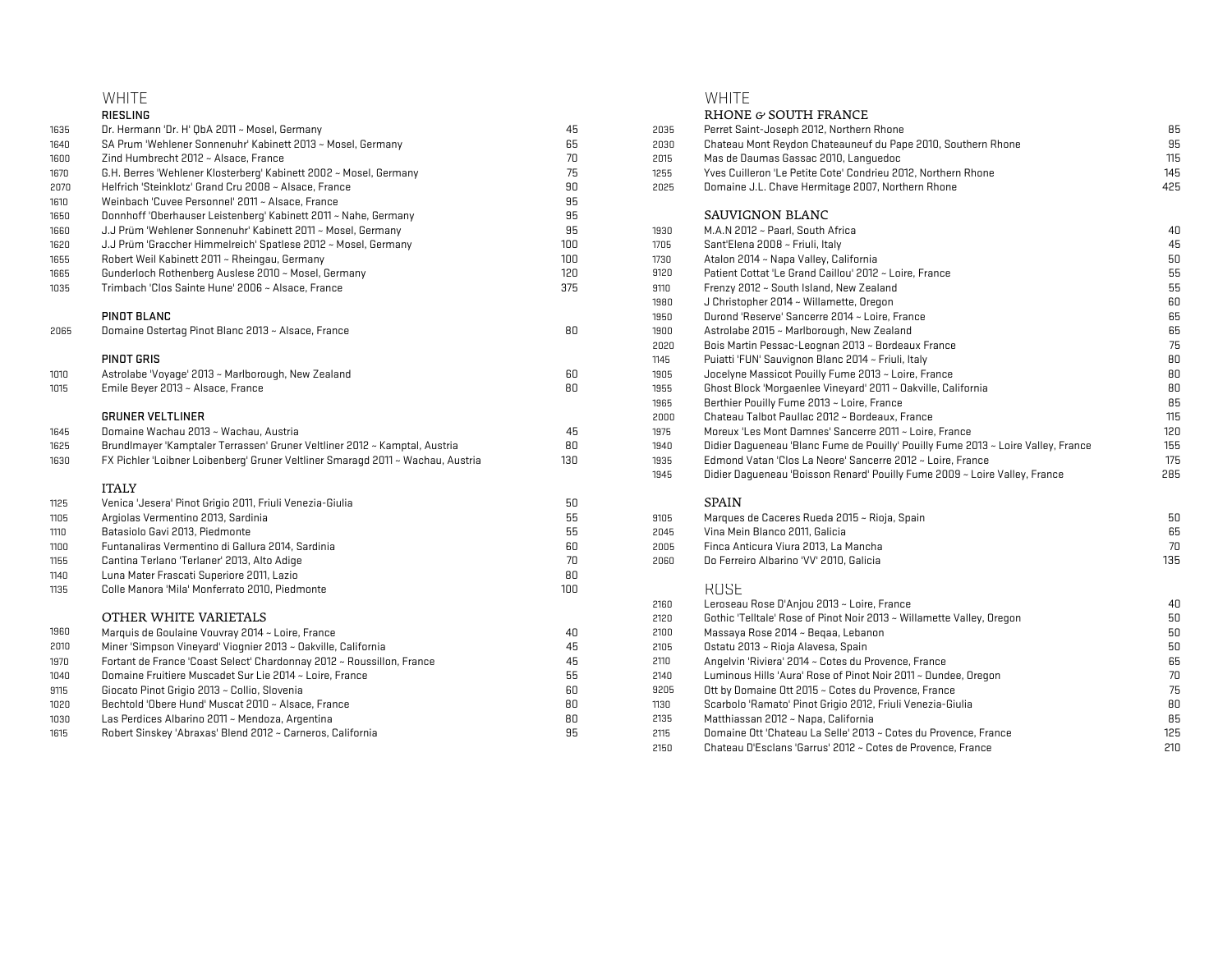## WHITE WHITE

|      | RIESLING                                                                        |     |      | RHONE & SOUTH FRANCE                                                              |     |
|------|---------------------------------------------------------------------------------|-----|------|-----------------------------------------------------------------------------------|-----|
| 1635 | Dr. Hermann 'Dr. H' QbA 2011 ~ Mosel, Germany                                   | 45  | 2035 | Perret Saint-Joseph 2012, Northern Rhone                                          | 85  |
| 1640 | SA Prum 'Wehlener Sonnenuhr' Kabinett 2013 ~ Mosel, Germany                     | 65  | 2030 | Chateau Mont Reydon Chateauneuf du Pape 2010, Southern Rhone                      | 95  |
| 1600 | Zind Humbrecht 2012 ~ Alsace, France                                            | 70  | 2015 | Mas de Daumas Gassac 2010, Lanquedoc                                              | 115 |
| 1670 | G.H. Berres 'Wehlener Klosterberg' Kabinett 2002 ~ Mosel, Germany               | 75  | 1255 | Yves Cuilleron 'Le Petite Cote' Condrieu 2012, Northern Rhone                     | 145 |
| 2070 | Helfrich 'Steinklotz' Grand Cru 2008 ~ Alsace, France                           | 90  | 2025 | Domaine J.L. Chave Hermitage 2007, Northern Rhone                                 | 425 |
| 1610 | Weinbach 'Cuvee Personnel' 2011 ~ Alsace, France                                | 95  |      |                                                                                   |     |
| 1650 | Donnhoff 'Oberhauser Leistenberg' Kabinett 2011 ~ Nahe, Germany                 | 95  |      | SAUVIGNON BLANC                                                                   |     |
| 1660 | J.J Prüm 'Wehlener Sonnenuhr' Kabinett 2011 ~ Mosel, Germany                    | 95  | 1930 | M.A.N 2012 ~ Paarl, South Africa                                                  | 40  |
| 1620 | J.J Prüm 'Graccher Himmelreich' Spatlese 2012 ~ Mosel, Germany                  | 100 | 1705 | Sant'Elena 2008 ~ Friuli, Italy                                                   | 45  |
| 1655 | Robert Weil Kabinett 2011 ~ Rheingau, Germany                                   | 100 | 1730 | Atalon 2014 ~ Napa Valley, California                                             | 50  |
| 1665 | Gunderloch Rothenberg Auslese 2010 ~ Mosel, Germany                             | 120 | 9120 | Patient Cottat 'Le Grand Caillou' 2012 ~ Loire, France                            | 55  |
| 1035 | Trimbach 'Clos Sainte Hune' 2006 ~ Alsace, France                               | 375 | 9110 | Frenzy 2012 ~ South Island, New Zealand                                           | 55  |
|      |                                                                                 |     | 1980 | J Christopher 2014 ~ Willamette, Oregon                                           | 60  |
|      | <b>PINOT BLANC</b>                                                              |     | 1950 | Durond 'Reserve' Sancerre 2014 ~ Loire, France                                    | 65  |
| 2065 | Domaine Ostertag Pinot Blanc 2013 ~ Alsace, France                              | 80  | 1900 | Astrolabe 2015 ~ Marlborough, New Zealand                                         | 65  |
|      |                                                                                 |     | 2020 | Bois Martin Pessac-Leognan 2013 ~ Bordeaux France                                 | 75  |
|      | <b>PINOT GRIS</b>                                                               |     | 1145 | Puiatti 'FUN' Sauvignon Blanc 2014 ~ Friuli, Italy                                | 80  |
| 1010 | Astrolabe 'Voyage' 2013 ~ Marlborough, New Zealand                              | 60  | 1905 | Jocelyne Massicot Pouilly Fume 2013 ~ Loire, France                               | 80  |
| 1015 | Emile Beyer 2013 ~ Alsace, France                                               | 80  | 1955 | Ghost Block 'Morgaenlee Vineyard' 2011 ~ Oakville, California                     | 80  |
|      |                                                                                 |     | 1965 | Berthier Pouilly Fume 2013 ~ Loire, France                                        | 85  |
|      | <b>GRUNER VELTLINER</b>                                                         |     | 2000 | Chateau Talbot Paullac 2012 ~ Bordeaux, France                                    | 115 |
| 1645 | Domaine Wachau 2013 ~ Wachau, Austria                                           | 45  | 1975 | Moreux 'Les Mont Damnes' Sancerre 2011 ~ Loire, France                            | 120 |
| 1625 | Brundlmayer 'Kamptaler Terrassen' Gruner Veltliner 2012 ~ Kamptal, Austria      | 80  | 1940 | Didier Daqueneau 'Blanc Fume de Pouilly' Pouilly Fume 2013 ~ Loire Valley, France | 155 |
| 1630 | FX Pichler 'Loibner Loibenberg' Gruner Veltliner Smaragd 2011 ~ Wachau, Austria | 130 | 1935 | Edmond Vatan 'Clos La Neore' Sancerre 2012 ~ Loire, France                        | 175 |
|      |                                                                                 |     | 1945 | Didier Daqueneau 'Boisson Renard' Pouilly Fume 2009 ~ Loire Valley, France        | 285 |
|      | <b>ITALY</b>                                                                    |     |      |                                                                                   |     |
| 1125 | Venica 'Jesera' Pinot Grigio 2011, Friuli Venezia-Giulia                        | 50  |      | <b>SPAIN</b>                                                                      |     |
| 1105 | Arqiolas Vermentino 2013, Sardinia                                              | 55  | 9105 | Marques de Caceres Rueda 2015 ~ Rioja, Spain                                      | 50  |
| 1110 | Batasiolo Gavi 2013, Piedmonte                                                  | 55  | 2045 | Vina Mein Blanco 2011, Galicia                                                    | 65  |
| 1100 | Funtanaliras Vermentino di Gallura 2014, Sardinia                               | 60  | 2005 | Finca Anticura Viura 2013, La Mancha                                              | 70  |
| 1155 | Cantina Terlano 'Terlaner' 2013, Alto Adiqe                                     | 70  | 2060 | Do Ferreiro Albarino 'VV' 2010, Galicia                                           | 135 |
| 1140 | Luna Mater Frascati Superiore 2011, Lazio                                       | 80  |      |                                                                                   |     |
| 1135 | Colle Manora 'Mila' Monferrato 2010, Piedmonte                                  | 100 |      | <b>ROSE</b>                                                                       |     |
|      |                                                                                 |     | 2160 | Leroseau Rose D'Anjou 2013 ~ Loire, France                                        | 40  |
|      | OTHER WHITE VARIETALS                                                           |     | 2120 | Gothic 'Telltale' Rose of Pinot Noir 2013 ~ Willamette Valley, Oregon             | 50  |
| 1960 | Marquis de Goulaine Vouvray 2014 ~ Loire, France                                | 40  | 2100 | Massaya Rose 2014 ~ Begaa, Lebanon                                                | 50  |
| 2010 | Miner 'Simpson Vineyard' Vioqnier 2013 ~ Dakville, California                   | 45  | 2105 | Ostatu 2013 ~ Rioja Alavesa, Spain                                                | 50  |
| 1970 | Fortant de France 'Coast Select' Chardonnay 2012 ~ Roussillon, France           | 45  | 2110 | Angelvin 'Riviera' 2014 ~ Cotes du Provence, France                               | 65  |
| 1040 | Domaine Fruitiere Muscadet Sur Lie 2014 ~ Loire, France                         | 55  | 2140 | Luminous Hills 'Aura' Rose of Pinot Noir 2011 ~ Dundee, Oregon                    | 70  |
| 9115 | Giocato Pinot Grigio 2013 ~ Collio, Slovenia                                    | 60  | 9205 | Ott by Domaine Ott 2015 ~ Cotes du Provence, France                               | 75  |
| 1020 | Bechtold 'Obere Hund' Muscat 2010 ~ Alsace, France                              | 80  | 1130 | Scarbolo 'Ramato' Pinot Grigio 2012, Friuli Venezia-Giulia                        | 80  |
| 1030 | Las Perdices Albarino 2011 ~ Mendoza, Argentina                                 | 80  | 2135 | Matthiassan 2012 ~ Napa, California                                               | 85  |
| 1615 | Robert Sinskey 'Abraxas' Blend 2012 ~ Carneros, California                      | 95  | 2115 | Domaine Ott 'Chateau La Selle' 2013 ~ Cotes du Provence, France                   | 125 |

| <u>.</u>                                                                        |     |      |                                                                                   |     |
|---------------------------------------------------------------------------------|-----|------|-----------------------------------------------------------------------------------|-----|
| RIESLING                                                                        |     |      | RHONE & SOUTH FRANCE                                                              |     |
| Dr. Hermann 'Dr. H' QbA 2011 ~ Mosel, Germany                                   | 45  | 2035 | Perret Saint-Joseph 2012, Northern Rhone                                          | 85  |
| SA Prum 'Wehlener Sonnenuhr' Kabinett 2013 ~ Mosel, Germany                     | 65  | 2030 | Chateau Mont Reydon Chateauneuf du Pape 2010, Southern Rhone                      | 95  |
| Zind Humbrecht 2012 ~ Alsace, France                                            | 70  | 2015 | Mas de Daumas Gassac 2010, Lanquedoc                                              | 115 |
| G.H. Berres 'Wehlener Klosterberg' Kabinett 2002 ~ Mosel, Germany               | 75  | 1255 | Yves Cuilleron 'Le Petite Cote' Condrieu 2012, Northern Rhone                     | 145 |
| Helfrich 'Steinklotz' Grand Cru 2008 ~ Alsace, France                           | 90  | 2025 | Domaine J.L. Chave Hermitage 2007, Northern Rhone                                 | 425 |
| Weinbach 'Cuvee Personnel' 2011 ~ Alsace, France                                | 95  |      |                                                                                   |     |
| Donnhoff 'Oberhauser Leistenberg' Kabinett 2011 ~ Nahe, Germany                 | 95  |      | SAUVIGNON BLANC                                                                   |     |
| J.J Prüm 'Wehlener Sonnenuhr' Kabinett 2011 ~ Mosel, Germany                    | 95  | 1930 | M.A.N 2012 ~ Paarl, South Africa                                                  | 40  |
| J.J Prüm 'Graccher Himmelreich' Spatlese 2012 ~ Mosel, Germany                  | 100 | 1705 | Sant'Elena 2008 ~ Friuli, Italy                                                   | 45  |
| Robert Weil Kabinett 2011 ~ Rheingau, Germany                                   | 100 | 1730 | Atalon 2014 ~ Napa Valley, California                                             | 50  |
| Gunderloch Rothenberg Auslese 2010 ~ Mosel, Germany                             | 120 | 9120 | Patient Cottat 'Le Grand Caillou' 2012 ~ Loire, France                            | 55  |
| Trimbach 'Clos Sainte Hune' 2006 ~ Alsace, France                               | 375 | 9110 | Frenzy 2012 ~ South Island, New Zealand                                           | 55  |
|                                                                                 |     | 1980 | J Christopher 2014 ~ Willamette, Oregon                                           | 60  |
| PINOT BLANC                                                                     |     | 1950 | Durond 'Reserve' Sancerre 2014 ~ Loire, France                                    | 65  |
| Domaine Ostertag Pinot Blanc 2013 ~ Alsace, France                              | 80  | 1900 | Astrolabe 2015 ~ Marlborough, New Zealand                                         | 65  |
|                                                                                 |     | 2020 | Bois Martin Pessac-Leognan 2013 ~ Bordeaux France                                 | 75  |
| PINOT GRIS                                                                      |     | 1145 | Puiatti 'FUN' Sauvignon Blanc 2014 ~ Friuli, Italy                                | 80  |
| Astrolabe 'Voyage' 2013 ~ Marlborough, New Zealand                              | 60  | 1905 | Jocelyne Massicot Pouilly Fume 2013 ~ Loire, France                               | 80  |
| Emile Beyer 2013 ~ Alsace, France                                               | 80  | 1955 | Ghost Block 'Morgaenlee Vineyard' 2011 ~ Dakville, California                     | 80  |
|                                                                                 |     | 1965 | Berthier Pouilly Fume 2013 ~ Loire, France                                        | 85  |
| <b>GRUNER VELTLINER</b>                                                         |     | 2000 | Chateau Talbot Paullac 2012 ~ Bordeaux, France                                    | 115 |
| Domaine Wachau 2013 ~ Wachau, Austria                                           | 45  | 1975 | Moreux 'Les Mont Damnes' Sancerre 2011 ~ Loire, France                            | 120 |
| Brundlmayer 'Kamptaler Terrassen' Gruner Veltliner 2012 ~ Kamptal, Austria      | 80  | 1940 | Didier Dagueneau 'Blanc Fume de Pouilly' Pouilly Fume 2013 ~ Loire Valley, France | 155 |
| FX Pichler 'Loibner Loibenberg' Gruner Veltliner Smaragd 2011 ~ Wachau, Austria | 130 | 1935 | Edmond Vatan 'Clos La Neore' Sancerre 2012 ~ Loire, France                        | 175 |
|                                                                                 |     | 1945 | Didier Dagueneau 'Boisson Renard' Pouilly Fume 2009 ~ Loire Valley, France        | 285 |
| <b>ITALY</b>                                                                    |     |      |                                                                                   |     |
| Venica 'Jesera' Pinot Grigio 2011, Friuli Venezia-Giulia                        | 50  |      | <b>SPAIN</b>                                                                      |     |
| Argiolas Vermentino 2013, Sardinia                                              | 55  | 9105 | Marques de Caceres Rueda 2015 ~ Rioja, Spain                                      | 50  |
| Batasiolo Gavi 2013, Piedmonte                                                  | 55  | 2045 | Vina Mein Blanco 2011, Galicia                                                    | 65  |
| Funtanaliras Vermentino di Gallura 2014, Sardinia                               | 60  | 2005 | Finca Anticura Viura 2013, La Mancha                                              | 70  |
| Cantina Terlano 'Terlaner' 2013, Alto Adige                                     | 70  | 2060 | Do Ferreiro Albarino 'VV' 2010, Galicia                                           | 135 |
| Luna Mater Frascati Superiore 2011, Lazio                                       | 80  |      |                                                                                   |     |
| Colle Manora 'Mila' Monferrato 2010, Piedmonte                                  | 100 |      | <b>ROSE</b>                                                                       |     |
|                                                                                 |     | 2160 | Leroseau Rose D'Anjou 2013 ~ Loire, France                                        | 40  |
| OTHER WHITE VARIETALS                                                           |     | 2120 | Gothic 'Telltale' Rose of Pinot Noir 2013 ~ Willamette Valley, Oregon             | 50  |
| Marquis de Goulaine Vouvray 2014 ~ Loire, France                                | 40  | 2100 | Massaya Rose 2014 ~ Beqaa, Lebanon                                                | 50  |
| Miner 'Simpson Vineyard' Viognier 2013 ~ Oakville, California                   | 45  | 2105 | Ostatu 2013 ~ Rioja Alavesa, Spain                                                | 50  |
| Fortant de France 'Coast Select' Chardonnay 2012 ~ Roussillon, France           | 45  | 2110 | Angelvin 'Riviera' 2014 ~ Cotes du Provence, France                               | 65  |
| Domaine Fruitiere Muscadet Sur Lie 2014 ~ Loire, France                         | 55  | 2140 | Luminous Hills 'Aura' Rose of Pinot Noir 2011 ~ Dundee, Oregon                    | 70  |
| Giocato Pinot Grigio 2013 ~ Collio, Slovenia                                    | 60  | 9205 | Ott by Domaine Ott 2015 ~ Cotes du Provence, France                               | 75  |
| Bechtold 'Obere Hund' Muscat 2010 ~ Alsace, France                              | 80  | 1130 | Scarbolo 'Ramato' Pinot Grigio 2012, Friuli Venezia-Giulia                        | 80  |
| Las Perdices Albarino 2011 ~ Mendoza, Argentina                                 | 80  | 2135 | Matthiassan 2012 ~ Napa, California                                               | 85  |
| Robert Sinskey 'Abraxas' Blend 2012 ~ Carneros, California                      | 95  | 2115 | Domaine Ott 'Chateau La Selle' 2013 ~ Cotes du Provence, France                   | 125 |
|                                                                                 |     | 2150 | Chateau D'Esclans 'Garrus' 2012 ~ Cotes de Provence, France                       | 210 |
|                                                                                 |     |      |                                                                                   |     |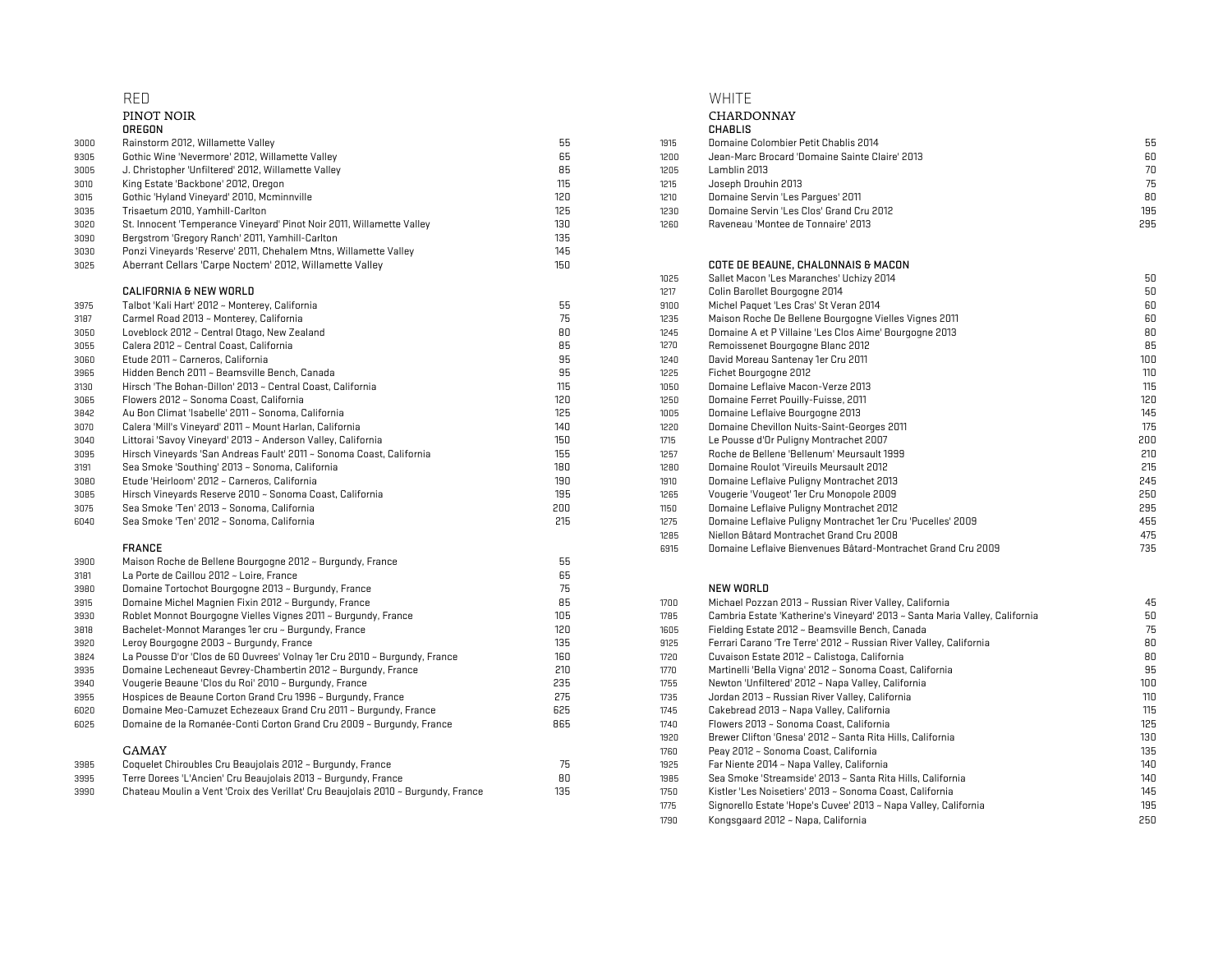|      | RED                                                                        |     |              | WHITE                                                                       |            |
|------|----------------------------------------------------------------------------|-----|--------------|-----------------------------------------------------------------------------|------------|
|      | PINOT NOIR                                                                 |     |              | CHARDONNAY                                                                  |            |
|      | OREGON                                                                     |     |              | <b>CHABLIS</b>                                                              |            |
| 3000 | Rainstorm 2012, Willamette Valley                                          | 55  | 1915         | Domaine Colombier Petit Chablis 2014                                        | 55         |
| 9305 | Gothic Wine 'Nevermore' 2012, Willamette Valley                            | 65  | 1200         | Jean-Marc Brocard 'Domaine Sainte Claire' 2013                              | 60         |
| 3005 | J. Christopher 'Unfiltered' 2012, Willamette Valley                        | 85  | 1205         | Lamblin 2013                                                                | 70         |
| 3010 | King Estate 'Backbone' 2012, Oregon                                        | 115 | 1215         | Joseph Drouhin 2013                                                         | 75         |
| 3015 | Gothic 'Hyland Vineyard' 2010, Mcminnville                                 | 120 | 1210         | Domaine Servin 'Les Pargues' 2011                                           | 80         |
| 3035 | Trisaetum 2010, Yamhill-Carlton                                            | 125 | 1230         | Domaine Servin 'Les Clos' Grand Cru 2012                                    | 195        |
| 3020 | St. Innocent 'Temperance Vineyard' Pinot Noir 2011, Willamette Valley      | 130 | 1260         | Raveneau 'Montee de Tonnaire' 2013                                          | 295        |
| 3090 | Bergstrom 'Gregory Ranch' 2011, Yamhill-Carlton                            | 135 |              |                                                                             |            |
| 3030 | Ponzi Vineyards 'Reserve' 2011, Chehalem Mtns, Willamette Valley           | 145 |              |                                                                             |            |
| 3025 | Aberrant Cellars 'Carpe Noctem' 2012, Willamette Valley                    | 150 |              | COTE DE BEAUNE, CHALONNAIS & MACON                                          |            |
|      |                                                                            |     | 1025         | Sallet Macon 'Les Maranches' Uchizy 2014                                    | 50         |
|      | CALIFORNIA & NEW WORLD                                                     |     | 1217         | Colin Barollet Bourgogne 2014                                               | 50         |
| 3975 | Talbot 'Kali Hart' 2012 ~ Monterey, California                             | 55  | 9100         | Michel Paquet 'Les Cras' St Veran 2014                                      | 60         |
| 3187 | Carmel Road 2013 ~ Monterey, California                                    | 75  | 1235         | Maison Roche De Bellene Bourgogne Vielles Vignes 2011                       | 60         |
| 3050 | Loveblock 2012 ~ Central Otago, New Zealand                                | 80  | 1245         | Domaine A et P Villaine 'Les Clos Aime' Bourgogne 2013                      | 80         |
| 3055 | Calera 2012 ~ Central Coast, California                                    | 85  | 1270         | Remoissenet Bourgogne Blanc 2012                                            | 85         |
| 3060 | Etude 2011 ~ Carneros, California                                          | 95  | 1240         | David Moreau Santenay 1er Cru 2011                                          | 100        |
|      | Hidden Bench 2011 ~ Beamsville Bench, Canada                               | 95  | 1225         | Fichet Bourgogne 2012                                                       | 110        |
| 3965 | Hirsch 'The Bohan-Dillon' 2013 ~ Central Coast, California                 | 115 | 1050         | Domaine Leflaive Macon-Verze 2013                                           | 115        |
| 3130 | Flowers 2012 ~ Sonoma Coast, California                                    | 120 |              |                                                                             | 120        |
| 3065 | Au Bon Climat 'Isabelle' 2011 ~ Sonoma, California                         | 125 | 1250<br>1005 | Domaine Ferret Pouilly-Fuisse, 2011<br>Domaine Leflaive Bourgogne 2013      | 145        |
| 3842 |                                                                            | 140 |              | Domaine Chevillon Nuits-Saint-Georges 2011                                  |            |
| 3070 | Calera 'Mill's Vineyard' 2011 ~ Mount Harlan, California                   | 150 | 1220         | Le Pousse d'Or Puliqny Montrachet 2007                                      | 175<br>200 |
| 3040 | Littorai 'Savoy Vineyard' 2013 ~ Anderson Valley, California               | 155 | 1715         | Roche de Bellene 'Bellenum' Meursault 1999                                  | 210        |
| 3095 | Hirsch Vineyards 'San Andreas Fault' 2011 ~ Sonoma Coast, California       | 180 | 1257<br>1280 | Domaine Roulot 'Vireuils Meursault 2012                                     |            |
| 3191 | Sea Smoke 'Southing' 2013 ~ Sonoma, California                             |     |              |                                                                             | 215        |
| 3080 | Etude 'Heirloom' 2012 ~ Carneros, California                               | 190 | 1910         | Domaine Leflaive Puligny Montrachet 2013                                    | 245        |
| 3085 | Hirsch Vineyards Reserve 2010 ~ Sonoma Coast, California                   | 195 | 1265         | Vougerie 'Vougeot' 1er Cru Monopole 2009                                    | 250        |
| 3075 | Sea Smoke 'Ten' 2013 ~ Sonoma, California                                  | 200 | 1150         | Domaine Leflaive Puligny Montrachet 2012                                    | 295        |
| 6040 | Sea Smoke 'Ten' 2012 ~ Sonoma, California                                  | 215 | 1275         | Domaine Leflaive Puligny Montrachet 1er Cru 'Pucelles' 2009                 | 455        |
|      |                                                                            |     | 1285         | Niellon Bâtard Montrachet Grand Cru 2008                                    | 475        |
|      | <b>FRANCE</b>                                                              |     | 6915         | Domaine Leflaive Bienvenues Bâtard-Montrachet Grand Cru 2009                | 735        |
| 3900 | Maison Roche de Bellene Bourgogne 2012 ~ Burgundy, France                  | 55  |              |                                                                             |            |
| 3181 | La Porte de Caillou 2012 ~ Loire, France                                   | 65  |              |                                                                             |            |
| 3980 | Domaine Tortochot Bourgogne 2013 ~ Burgundy, France                        | 75  |              | NEW WORLD                                                                   |            |
| 3915 | Domaine Michel Magnien Fixin 2012 ~ Burgundy, France                       | 85  | 1700         | Michael Pozzan 2013 ~ Russian River Valley, California                      | 45         |
| 3930 | Roblet Monnot Bourgogne Vielles Vignes 2011 ~ Burgundy, France             | 105 | 1785         | Cambria Estate 'Katherine's Vineyard' 2013 ~ Santa Maria Valley, California | 50         |
| 3818 | Bachelet-Monnot Maranges 1er cru ~ Burgundy, France                        | 120 | 1605         | Fielding Estate 2012 ~ Beamsville Bench, Canada                             | 75         |
| 3920 | Leroy Bourgogne 2003 ~ Burgundy, France                                    | 135 | 9125         | Ferrari Carano 'Tre Terre' 2012 ~ Russian River Valley, California          | 80         |
| 3824 | La Pousse D'or 'Clos de 60 Ouvrees' Volnay 1er Cru 2010 ~ Burgundy, France | 160 | 1720         | Cuvaison Estate 2012 ~ Calistoga, California                                | 80         |
| 3935 | Domaine Lecheneaut Gevrey-Chambertin 2012 ~ Burgundy, France               | 210 | 1770         | Martinelli 'Bella Vigna' 2012 ~ Sonoma Coast, California                    | 95         |
| 3940 | Vougerie Beaune 'Clos du Roi' 2010 ~ Burgundy, France                      | 235 | 1755         | Newton 'Unfiltered' 2012 ~ Napa Valley, California                          | 100        |
| 3955 | Hospices de Beaune Corton Grand Cru 1996 ~ Burgundy, France                | 275 | 1735         | Jordan 2013 ~ Russian River Valley, California                              | 110        |
| 6020 | Domaine Meo-Camuzet Echezeaux Grand Cru 2011 ~ Burgundy, France            | 625 | 1745         | Cakebread 2013 ~ Napa Valley, California                                    | 115        |
| 6025 | Domaine de la Romanée-Conti Corton Grand Cru 2009 ~ Burgundy, France       | 865 | 1740         | Flowers 2013 ~ Sonoma Coast, California                                     | 125        |

| 3985 | Coquelet Chiroubles Cru Beaujolais 2012 ~ Burgundy, France                        |     | Far Niente 2014 ~ Napa Valley, California                  | 11n |
|------|-----------------------------------------------------------------------------------|-----|------------------------------------------------------------|-----|
| 3995 | Terre Dorees 'L'Ancien' Cru Beaujolais 2013 ~ Burgundy, France                    | 80  | Sea Smoke 'Streamside' 2013 ~ Santa Rita Hills, California | 140 |
| 3990 | Chateau Moulin a Vent 'Croix des Verillat' Cru Beaujolais 2010 ~ Burgundy, France | 135 | Kistler 'Les Noisetiers' 2013 ~ Sonoma Coast. California   | 145 |
|      |                                                                                   |     |                                                            | $-$ |

|      | CHARDONNAY                                     |    |
|------|------------------------------------------------|----|
|      | <b>CHABLIS</b>                                 |    |
| 1915 | Domaine Colombier Petit Chablis 2014           | 5  |
| 1200 | Jean-Marc Brocard 'Domaine Sainte Claire' 2013 | 61 |
| 1205 | Lamblin 2013                                   | 7  |
| 1215 | Joseph Drouhin 2013                            | 7  |
| 1210 | Domaine Servin 'Les Parques' 2011              | 8  |
| 1230 | Domaine Servin 'Les Clos' Grand Cru 2012       | 19 |
| 1260 | Raveneau 'Montee de Tonnaire' 2013             | 29 |
|      |                                                |    |

|                                                                      |     | 1025 | Sallet Macon 'Les Maranches' Uchizy 2014                     | 50  |
|----------------------------------------------------------------------|-----|------|--------------------------------------------------------------|-----|
| CALIFORNIA & NEW WORLD                                               |     | 1217 | Colin Barollet Bourgogne 2014                                | 50  |
| Talbot 'Kali Hart' 2012 ~ Monterey, California                       | 55  | 9100 | Michel Paquet 'Les Cras' St Veran 2014                       | 60  |
| Carmel Road 2013 ~ Monterey, California                              | 75  | 1235 | Maison Roche De Bellene Bourgogne Vielles Vignes 2011        | 60  |
| Loveblock 2012 ~ Central Otago, New Zealand                          | 80  | 1245 | Domaine A et P Villaine 'Les Clos Aime' Bourgogne 2013       | 80  |
| Calera 2012 ~ Central Coast, California                              | 85  | 1270 | Remoissenet Bourgogne Blanc 2012                             | 85  |
| Etude 2011 ~ Carneros, California                                    | 95  | 1240 | David Moreau Santenay 1er Cru 2011                           | 100 |
| Hidden Bench 2011 ~ Beamsville Bench, Canada                         | 95  | 1225 | Fichet Bourgogne 2012                                        | 110 |
| Hirsch 'The Bohan-Dillon' 2013 ~ Central Coast, California           | 115 | 1050 | Domaine Leflaive Macon-Verze 2013                            | 115 |
| Flowers 2012 ~ Sonoma Coast, California                              | 120 | 1250 | Domaine Ferret Pouilly-Fuisse, 2011                          | 120 |
| Au Bon Climat 'Isabelle' 2011 ~ Sonoma, California                   | 125 | 1005 | Domaine Leflaive Bourgogne 2013                              | 145 |
| Calera 'Mill's Vineyard' 2011 ~ Mount Harlan, California             | 140 | 1220 | Domaine Chevillon Nuits-Saint-Georges 2011                   | 175 |
| Littorai 'Savoy Vineyard' 2013 ~ Anderson Valley, California         | 150 | 1715 | Le Pousse d'Or Puligny Montrachet 2007                       | 200 |
| Hirsch Vineyards 'San Andreas Fault' 2011 ~ Sonoma Coast, California | 155 | 1257 | Roche de Bellene 'Bellenum' Meursault 1999                   | 210 |
| Sea Smoke 'Southing' 2013 ~ Sonoma, California                       | 180 | 1280 | Domaine Roulot 'Vireuils Meursault 2012                      | 215 |
| Etude 'Heirloom' 2012 ~ Carneros, California                         | 190 | 1910 | Domaine Leflaive Puligny Montrachet 2013                     | 245 |
| Hirsch Vineyards Reserve 2010 ~ Sonoma Coast, California             | 195 | 1265 | Vougerie 'Vougeot' 1er Cru Monopole 2009                     | 250 |
| Sea Smoke 'Ten' 2013 ~ Sonoma, California                            | 200 | 1150 | Domaine Leflaive Puliqny Montrachet 2012                     | 295 |
| Sea Smoke 'Ten' 2012 ~ Sonoma, California                            | 215 | 1275 | Domaine Leflaive Puliqny Montrachet 1er Cru 'Pucelles' 2009  | 455 |
|                                                                      |     | 1285 | Niellon Bâtard Montrachet Grand Cru 2008                     | 475 |
| FRANCE                                                               |     | 6915 | Domaine Leflaive Bienvenues Bâtard-Montrachet Grand Cru 2009 | 735 |
|                                                                      |     |      |                                                              |     |

| Domaine Michel Magnien Fixin 2012 ~ Burgundy, France                              | 85  | 1700 | Michael Pozzan 2013 ~ Russian River Valley, California                      | 45  |
|-----------------------------------------------------------------------------------|-----|------|-----------------------------------------------------------------------------|-----|
| Roblet Monnot Bourgogne Vielles Vignes 2011 ~ Burgundy, France                    | 105 | 1785 | Cambria Estate 'Katherine's Vineyard' 2013 ~ Santa Maria Valley, California | 50  |
| Bachelet-Monnot Maranges 1er cru ~ Burgundy, France                               | 120 | 1605 | Fielding Estate 2012 ~ Beamsville Bench, Canada                             | 75  |
| Leroy Bourgogne 2003 ~ Burgundy, France                                           | 135 | 9125 | Ferrari Carano 'Tre Terre' 2012 ~ Russian River Valley, California          | 80  |
| La Pousse D'or 'Clos de 60 Ouvrees' Volnay 1er Cru 2010 ~ Burqundy, France        | 160 | 1720 | Cuvaison Estate 2012 ~ Calistoga, California                                | 80  |
| Domaine Lecheneaut Gevrey-Chambertin 2012 ~ Burqundy, France                      | 210 | 1770 | Martinelli 'Bella Vigna' 2012 ~ Sonoma Coast, California                    | 95  |
| Vougerie Beaune 'Clos du Roi' 2010 ~ Burgundy, France                             | 235 | 1755 | Newton 'Unfiltered' 2012 ~ Napa Valley, California                          | 100 |
| Hospices de Beaune Corton Grand Cru 1996 ~ Burqundy, France                       | 275 | 1735 | Jordan 2013 ~ Russian River Valley, California                              | 110 |
| Domaine Meo-Camuzet Echezeaux Grand Cru 2011 ~ Burgundy, France                   | 625 | 1745 | Cakebread 2013 ~ Napa Valley, California                                    | 115 |
| Domaine de la Romanée-Conti Corton Grand Cru 2009 ~ Burqundy, France              | 865 | 1740 | Flowers 2013 ~ Sonoma Coast, California                                     | 125 |
|                                                                                   |     | 1920 | Brewer Clifton 'Gnesa' 2012 ~ Santa Rita Hills, California                  | 130 |
| GAMAY                                                                             |     | 1760 | Peay 2012 ~ Sonoma Coast, California                                        | 135 |
| Coquelet Chiroubles Cru Beaujolais 2012 ~ Burgundy, France                        | 75  | 1925 | Far Niente 2014 ~ Napa Valley, California                                   | 140 |
| Terre Dorees 'L'Ancien' Cru Beaujolais 2013 ~ Burqundy, France                    | 80  | 1985 | Sea Smoke 'Streamside' 2013 ~ Santa Rita Hills, California                  | 140 |
| Chateau Moulin a Vent 'Croix des Verillat' Cru Beaujolais 2010 ~ Burqundy, France | 135 | 1750 | Kistler 'Les Noisetiers' 2013 ~ Sonoma Coast, California                    | 145 |
|                                                                                   |     | 1775 | Signorello Estate 'Hope's Cuvee' 2013 ~ Napa Valley, California             | 195 |
|                                                                                   |     | 1790 | Kongsgaard 2012 ~ Napa, California                                          | 250 |
|                                                                                   |     |      |                                                                             |     |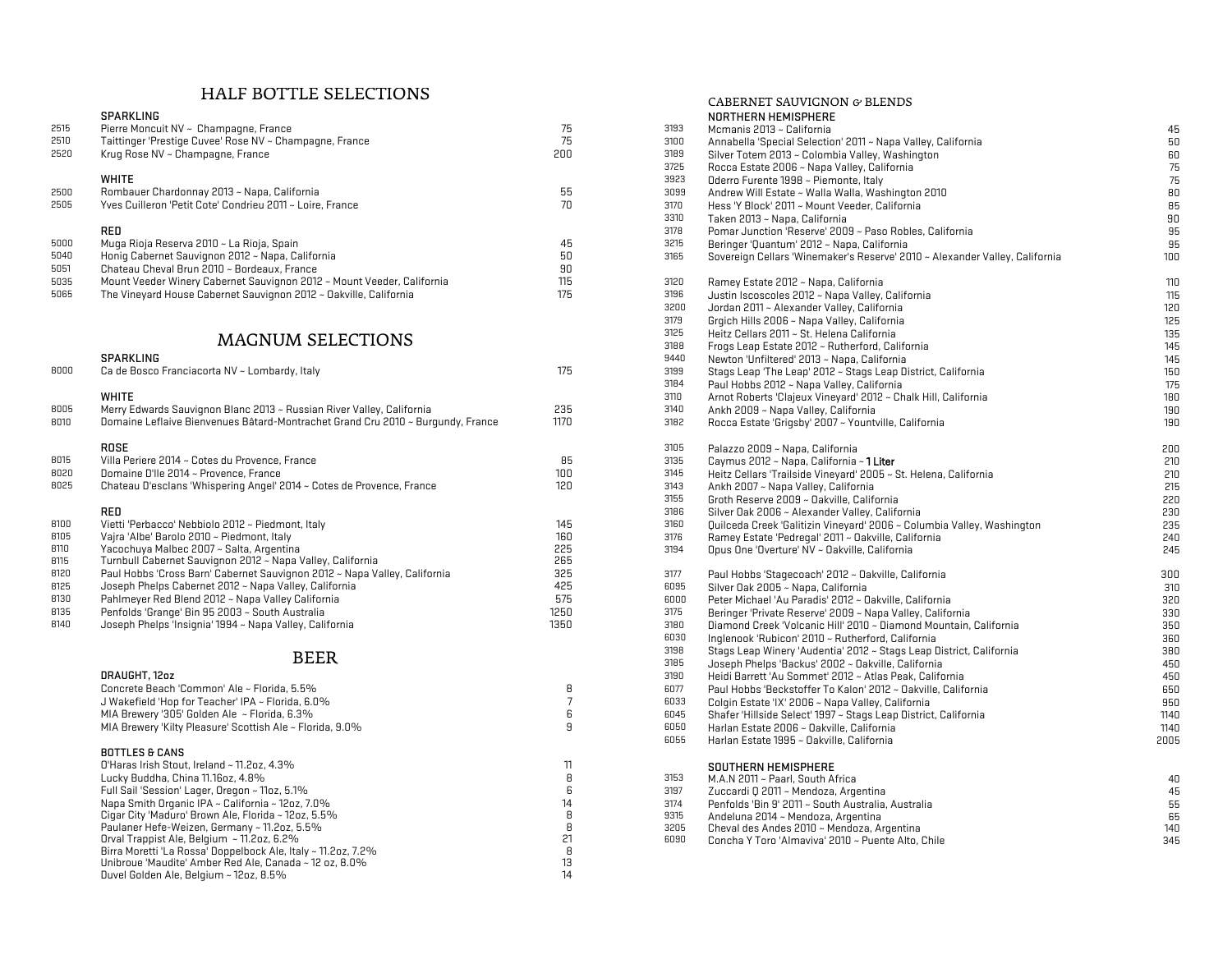## HALF BOTTLE SELECTIONS

| 2515 | Pierre Moncuit NV ~ Champagne, France                     |     | 3193 | Mcmanis 2013 ~ California                                                   | 45  |
|------|-----------------------------------------------------------|-----|------|-----------------------------------------------------------------------------|-----|
| 2510 | Taittinger 'Prestige Cuvee' Rose NV ~ Champagne, France   | 75  | 3100 | Annabella 'Special Selection' 2011 ~ Napa Valley, California                | 50  |
| 2520 | Krug Rose NV ~ Champagne, France                          | 200 | 3189 | Silver Totem 2013 ~ Colombia Valley, Washington                             | 60  |
|      |                                                           |     | 3725 | Rocca Estate 2006 ~ Napa Valley, California                                 | 75  |
|      | WHITE                                                     |     | 3923 | Oderro Furente 1998 ~ Piemonte, Italy                                       | 75  |
| 2500 | Rombauer Chardonnay 2013 ~ Napa, California               | ხხ  | 3099 | Andrew Will Estate ~ Walla Walla, Washington 2010                           | 80  |
| 2505 | Yves Cuilleron 'Petit Cote' Condrieu 2011 ~ Loire, France | /U  | 3170 | Hess 'Y Block' 2011 ~ Mount Veeder, California                              | 85  |
|      |                                                           |     | 3310 | Taken 2013 ~ Napa, California                                               | 90  |
|      | RED                                                       |     | 3178 | Pomar Junction 'Reserve' 2009 ~ Paso Robles, California                     | 95  |
| 5000 | Muqa Rioja Reserva 2010 ~ La Rioja, Spain                 | 45  | 3215 | Beringer 'Quantum' 2012 ~ Napa, California                                  | 95  |
| 5040 | Honig Cabernet Sauvignon 2012 ~ Napa, California          | 50  | 3165 | Sovereign Cellars 'Winemaker's Reserve' 2010 ~ Alexander Valley, California | 100 |
| 5051 | Chateau Cheval Brun 2010 ~ Bordeaux, France               | 90  |      |                                                                             |     |
|      |                                                           |     |      |                                                                             |     |

|      | <b>SPARNLING</b>                                                                |      | 344U | Newton Onlinered 2013 ~ Napa, Gamornia                                 | 145 |
|------|---------------------------------------------------------------------------------|------|------|------------------------------------------------------------------------|-----|
| 8000 | Ca de Bosco Franciacorta NV ~ Lombardy, Italy                                   | 1/5  | 3199 | Stags Leap 'The Leap' 2012 ~ Stags Leap District, California           | 150 |
|      |                                                                                 |      | 3184 | Paul Hobbs 2012 ~ Napa Valley, California                              | 175 |
|      | <b>WHITE</b>                                                                    |      | 3110 | Arnot Roberts 'Clajeux Vineyard' 2012 ~ Chalk Hill, California         | 180 |
| 8005 | Merry Edwards Sauvignon Blanc 2013 ~ Russian River Valley, California           | 235  | 3140 | Ankh 2009 ~ Napa Valley, California                                    | 190 |
| 8010 | Domaine Leflaive Bienvenues Bâtard-Montrachet Grand Cru 2010 ~ Burgundy, France | 1170 | 3182 | Rocca Estate 'Grigsby' 2007 ~ Yountville, California                   | 190 |
|      | ROSE                                                                            |      | 3105 | Palazzo 2009 ~ Napa, California                                        | 200 |
| 8015 | Villa Periere 2014 ~ Cotes du Provence, France                                  | 85   | 3135 | Caymus 2012 ~ Napa, California ~ <b>1 Liter</b>                        | 210 |
| 8020 | Domaine D'Ile 2014 ~ Provence, France                                           | 100  | 3145 | Heitz Cellars 'Trailside Vineyard' 2005 ~ St. Helena, California       | 210 |
| 8025 | Chateau D'esclans 'Whispering Angel' 2014 ~ Cotes de Provence, France           | 120  | 3143 | Ankh 2007 ~ Napa Valley, California                                    | 215 |
|      |                                                                                 |      | 3155 | Groth Reserve 2009 ~ Oakville, California                              | 220 |
|      | <b>RED</b>                                                                      |      | 3186 | Silver Oak 2006 ~ Alexander Valley, California                         | 230 |
| 8100 | Vietti 'Perbacco' Nebbiolo 2012 ~ Piedmont, Italy                               | 145  | 3160 | Quilceda Creek 'Galitizin Vineyard' 2006 ~ Columbia Valley, Washington | 235 |
| 8105 | Vaira 'Albe' Barolo 2010 ~ Piedmont, Italy                                      | 160  | 3176 | Ramey Estate 'Pedregal' 2011 ~ Oakville, California                    | 240 |
| 8110 | Yacochuya Malbec 2007 ~ Salta, Argentina                                        | 225  | 3194 | Opus One 'Overture' NV ~ Oakville, California                          | 245 |
| 8115 | Turnbull Cabernet Sauvignon 2012 ~ Napa Valley, California                      | 265  |      |                                                                        |     |
| 8120 | Paul Hobbs 'Cross Barn' Cabernet Sauvignon 2012 ~ Napa Valley, California       | 325  | 3177 | Paul Hobbs 'Stagecoach' 2012 ~ Oakville, California                    | 300 |
| 8125 | Joseph Phelps Cabernet 2012 ~ Napa Valley, California                           | 425  | 6095 | Silver Oak 2005 ~ Napa, California                                     | 310 |
| 8130 | Pahlmeyer Red Blend 2012 ~ Napa Valley California                               | 575  | 6000 | Peter Michael 'Au Paradis' 2012 ~ Dakville, California                 | 320 |
| 8135 | Penfolds 'Grange' Bin 95 2003 ~ South Australia                                 | 1250 | 3175 | Beringer 'Private Reserve' 2009 ~ Napa Valley, California              | 330 |
| 8140 | Joseph Phelos 'Insionia' 1994 ~ Napa Vallev. California.                        | 1350 | 3180 | Diamond Creek 'Volcanic Hill' 2010 ~ Diamond Mountain, California      | 350 |

| DRAUGHT, 12oz                                                 |    | 3190 | Heidi Barrett 'Au Sommet' a    |
|---------------------------------------------------------------|----|------|--------------------------------|
| Concrete Beach 'Common' Ale ~ Florida, 5.5%                   | R  | 6077 | Paul Hobbs 'Beckstoffer To     |
| J Wakefield 'Hop for Teacher' IPA ~ Florida, 6.0%             |    | 6033 | Colgin Estate 'IX' 2006 ~ Na   |
| MIA Brewery '305' Golden Ale $\sim$ Florida, 6.3%             | 6. | 6045 | Shafer 'Hillside Select' 1997  |
| MIA Brewery 'Kilty Pleasure' Scottish Ale ~ Florida, 9.0%     | 9  | 6050 | Harlan Estate 2006 ~ Oakvi     |
|                                                               |    | 6055 | Harlan Estate 1995 ~ Oakvil    |
| <b>BOTTLES &amp; CANS</b>                                     |    |      |                                |
| O'Haras Irish Stout, Ireland $\sim$ 11.2oz, 4.3%              |    |      | SOUTHERN HEMISPHERE            |
| Lucky Buddha, China 11.16oz, 4.8%                             | R  | 3153 | M.A.N 2011 ~ Paarl, South A    |
| Full Sail 'Session' Lager, Oregon ~ 11oz, 5.1%                | h  | 3197 | Zuccardi Q 2011 ~ Mendoza      |
| Napa Smith Organic IPA ~ California ~ 12oz, 7.0%              | 14 | 3174 | Penfolds 'Bin 9' 2011 ~ Sout   |
| Cigar City 'Maduro' Brown Ale, Florida ~ 12oz, 5.5%           | 8  | 9315 | Andeluna 2014 ~ Mendoza.       |
| Paulaner Hefe-Weizen, Germany ~ 11.2oz, 5.5%                  | R  | 3205 | Cheval des Andes 2010 $\sim$ M |
| Orval Trappist Ale, Belgium $\sim$ 11.2oz, 6.2%               |    | 6090 | Concha Y Toro 'Almaviva' 2     |
| Birra Moretti 'La Rossa' Doppelbock Ale, Italy ~ 11.2oz, 7.2% | R  |      |                                |
| Unibroue 'Maudite' Amber Red Ale, Canada ~ 12 oz, 8.0%        | 13 |      |                                |
| Duvel Golden Ale, Belgium $\sim$ 12oz, 8.5%                   | 14 |      |                                |
|                                                               |    |      |                                |

|      |                                                                                 |                |      | CABERNET SAUVIGNON & BLENDS                                                 |      |
|------|---------------------------------------------------------------------------------|----------------|------|-----------------------------------------------------------------------------|------|
|      | <b>SPARKLING</b>                                                                |                |      | NORTHERN HEMISPHERE                                                         |      |
| 2515 | Pierre Moncuit NV ~ Champagne, France                                           | 75             | 3193 | Mcmanis 2013 ~ California                                                   | 45   |
| 2510 | Taittinger 'Prestige Cuvee' Rose NV ~ Champagne, France                         | 75             | 3100 | Annabella 'Special Selection' 2011 ~ Napa Valley, California                | 50   |
| 2520 | Krug Rose NV ~ Champagne, France                                                | 200            | 3189 | Silver Totem 2013 ~ Colombia Valley, Washington                             | 60   |
|      |                                                                                 |                | 3725 | Rocca Estate 2006 ~ Napa Valley, California                                 | 75   |
|      | <b>WHITE</b>                                                                    |                | 3923 | Oderro Furente 1998 ~ Piemonte, Italy                                       | 75   |
| 2500 | Rombauer Chardonnay 2013 ~ Napa, California                                     | 55             | 3099 | Andrew Will Estate ~ Walla Walla, Washington 2010                           | 80   |
| 2505 | Yves Cuilleron 'Petit Cote' Condrieu 2011 ~ Loire, France                       | 70             | 3170 | Hess 'Y Block' 2011 ~ Mount Veeder, California                              | 85   |
|      |                                                                                 |                | 3310 | Taken 2013 ~ Napa, California                                               | 90   |
|      | RED                                                                             |                | 3178 | Pomar Junction 'Reserve' 2009 ~ Paso Robles, California                     | 95   |
| 5000 | Muga Rioja Reserva 2010 ~ La Rioja, Spain                                       | 45             | 3215 | Beringer 'Quantum' 2012 ~ Napa, California                                  | 95   |
|      | Honiq Cabernet Sauvignon 2012 ~ Napa, California                                | 50             |      |                                                                             |      |
| 5040 |                                                                                 |                | 3165 | Sovereign Cellars 'Winemaker's Reserve' 2010 ~ Alexander Valley, California | 100  |
| 5051 | Chateau Cheval Brun 2010 ~ Bordeaux, France                                     | 90             |      |                                                                             |      |
| 5035 | Mount Veeder Winery Cabernet Sauvignon 2012 ~ Mount Veeder, California          | 115            | 3120 | Ramey Estate 2012 ~ Napa, California                                        | 110  |
| 5065 | The Vineyard House Cabernet Sauvignon 2012 ~ Oakville, California               | 175            | 3196 | Justin Iscoscoles 2012 ~ Napa Valley, California                            | 115  |
|      |                                                                                 |                | 3200 | Jordan 2011 ~ Alexander Valley, California                                  | 120  |
|      |                                                                                 |                | 3179 | Grqich Hills 2006 ~ Napa Valley, California                                 | 125  |
|      | <b>MAGNUM SELECTIONS</b>                                                        |                | 3125 | Heitz Cellars 2011 ~ St. Helena California                                  | 135  |
|      |                                                                                 |                | 3188 | Frogs Leap Estate 2012 ~ Rutherford, California                             | 145  |
|      | <b>SPARKLING</b>                                                                |                | 9440 | Newton 'Unfiltered' 2013 ~ Napa, California                                 | 145  |
| 8000 | Ca de Bosco Franciacorta NV ~ Lombardy, Italy                                   | 175            | 3199 | Stags Leap 'The Leap' 2012 ~ Stags Leap District, California                | 150  |
|      |                                                                                 |                | 3184 | Paul Hobbs 2012 ~ Napa Valley, California                                   | 175  |
|      | <b>WHITE</b>                                                                    |                | 3110 | Arnot Roberts 'Clajeux Vineyard' 2012 ~ Chalk Hill, California              | 180  |
| 8005 | Merry Edwards Sauvignon Blanc 2013 ~ Russian River Valley, California           | 235            | 3140 | Ankh 2009 ~ Napa Valley, California                                         | 190  |
| 8010 | Domaine Leflaive Bienvenues Bâtard-Montrachet Grand Cru 2010 ~ Burgundy, France | 1170           | 3182 | Rocca Estate 'Grigsby' 2007 ~ Yountville, California                        | 190  |
|      | <b>ROSE</b>                                                                     |                | 3105 | Palazzo 2009 ~ Napa, California                                             | 200  |
| 8015 | Villa Periere 2014 ~ Cotes du Provence, France                                  | 85             | 3135 | Caymus 2012 ~ Napa, California ~ 1 Liter                                    | 210  |
| 8020 | Domaine D'Ile 2014 ~ Provence, France                                           | 100            | 3145 | Heitz Cellars 'Trailside Vineyard' 2005 ~ St. Helena, California            | 210  |
| 8025 | Chateau D'esclans 'Whispering Angel' 2014 ~ Cotes de Provence, France           | 120            | 3143 | Ankh 2007 ~ Napa Valley, California                                         | 215  |
|      |                                                                                 |                | 3155 | Groth Reserve 2009 ~ Oakville, California                                   | 220  |
|      | <b>RED</b>                                                                      |                | 3186 | Silver Oak 2006 ~ Alexander Valley, California                              | 230  |
| 8100 | Vietti 'Perbacco' Nebbiolo 2012 ~ Piedmont, Italy                               | 145            | 3160 | Quilceda Creek 'Galitizin Vineyard' 2006 ~ Columbia Valley, Washington      | 235  |
| 8105 | Vajra 'Albe' Barolo 2010 ~ Piedmont, Italy                                      | 160            | 3176 | Ramey Estate 'Pedregal' 2011 ~ Dakville, California                         | 240  |
| 8110 | Yacochuya Malbec 2007 ~ Salta, Argentina                                        | 225            | 3194 | Opus One 'Overture' NV ~ Oakville, California                               | 245  |
| 8115 | Turnbull Cabernet Sauvignon 2012 ~ Napa Valley, California                      | 265            |      |                                                                             |      |
| 8120 | Paul Hobbs 'Cross Barn' Cabernet Sauvignon 2012 ~ Napa Valley, California       | 325            | 3177 | Paul Hobbs 'Stagecoach' 2012 ~ Oakville, California                         | 300  |
| 8125 | Joseph Phelps Cabernet 2012 ~ Napa Valley, California                           | 425            | 6095 | Silver Oak 2005 ~ Napa, California                                          | 310  |
| 8130 | Pahlmeyer Red Blend 2012 ~ Napa Valley California                               | 575            | 6000 | Peter Michael 'Au Paradis' 2012 ~ Dakville, California                      | 320  |
| 8135 | Penfolds 'Grange' Bin 95 2003 ~ South Australia                                 | 1250           | 3175 | Beringer 'Private Reserve' 2009 ~ Napa Valley, California                   | 330  |
| 8140 | Joseph Phelps 'Insignia' 1994 ~ Napa Valley, California                         | 1350           | 3180 | Diamond Creek 'Volcanic Hill' 2010 ~ Diamond Mountain, California           |      |
|      |                                                                                 |                | 6030 |                                                                             | 350  |
|      |                                                                                 |                |      | Inglenook 'Rubicon' 2010 ~ Rutherford, California                           | 360  |
|      | <b>BEER</b>                                                                     |                | 3198 | Stags Leap Winery 'Audentia' 2012 ~ Stags Leap District, California         | 380  |
|      |                                                                                 |                | 3185 | Joseph Phelps 'Backus' 2002 ~ Dakville, California                          | 450  |
|      | DRAUGHT, 12oz                                                                   |                | 3190 | Heidi Barrett 'Au Sommet' 2012 ~ Atlas Peak, California                     | 450  |
|      | Concrete Beach 'Common' Ale ~ Florida, 5.5%                                     | 8              | 6077 | Paul Hobbs 'Beckstoffer To Kalon' 2012 ~ Dakville, California               | 650  |
|      | J Wakefield 'Hop for Teacher' IPA ~ Florida, 6.0%                               | $\overline{7}$ | 6033 | Colgin Estate 'IX' 2006 ~ Napa Valley, California                           | 950  |
|      | MIA Brewery '305' Golden Ale ~ Florida, 6.3%                                    | 6              | 6045 | Shafer 'Hillside Select' 1997 ~ Stags Leap District, California             | 1140 |
|      | MIA Brewery 'Kilty Pleasure' Scottish Ale ~ Florida, 9.0%                       | 9              | 6050 | Harlan Estate 2006 ~ Oakville, California                                   | 1140 |
|      | <b>BOTTLES &amp; CANS</b>                                                       |                | 6055 | Harlan Estate 1995 ~ Dakville, California                                   | 2005 |
|      | O'Haras Irish Stout, Ireland ~ 11.2oz, 4.3%                                     | 11             |      |                                                                             |      |
|      |                                                                                 | 8              |      | SOUTHERN HEMISPHERE                                                         |      |
|      | Lucky Buddha, China 11.16oz, 4.8%                                               |                | 3153 | M.A.N 2011 ~ Paarl, South Africa                                            | 40   |
|      | Full Sail 'Session' Lager, Oregon ~ 11oz, 5.1%                                  | 6              | 3197 | Zuccardi Q 2011 ~ Mendoza, Argentina                                        | 45   |
|      | Napa Smith Organic IPA ~ California ~ 12oz, 7.0%                                | 14             | 3174 | Penfolds 'Bin 9' 2011 ~ South Australia, Australia                          | 55   |
|      | Cigar City 'Maduro' Brown Ale, Florida ~ 12oz, 5.5%                             | 8              | 9315 | Andeluna 2014 ~ Mendoza, Argentina                                          | 65   |
|      | Paulaner Hefe-Weizen, Germany ~ 11.2oz, 5.5%                                    | 8              | 3205 | Cheval des Andes 2010 ~ Mendoza, Argentina                                  | 140  |
|      | Orval Trappist Ale, Belgium ~ 11.2oz, 6.2%                                      | 21             | 6090 | Concha Y Toro 'Almaviva' 2010 ~ Puente Alto, Chile                          | 345  |
|      | Birra Moretti 'La Rossa' Doppelbock Ale, Italy ~ 11.2oz, 7.2%                   | 8              |      |                                                                             |      |